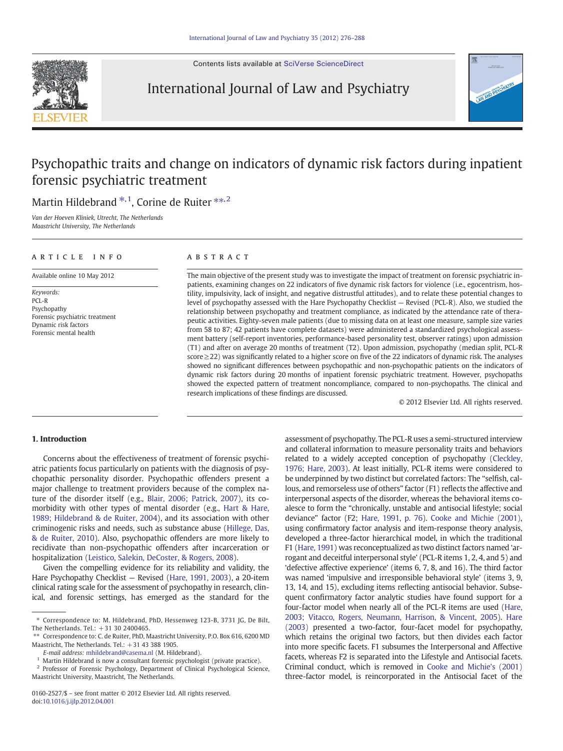Contents lists available at [SciVerse ScienceDirect](http://www.sciencedirect.com/science/journal/01602527)



# International Journal of Law and Psychiatry



# Psychopathic traits and change on indicators of dynamic risk factors during inpatient forensic psychiatric treatment

Martin Hildebrand \*,<sup>1</sup>, Corine de Ruiter \*\*,<sup>2</sup>

Van der Hoeven Kliniek, Utrecht, The Netherlands Maastricht University, The Netherlands

### article info abstract

Available online 10 May 2012

Keywords: PCL-R Psychopathy Forensic psychiatric treatment Dynamic risk factors Forensic mental health

The main objective of the present study was to investigate the impact of treatment on forensic psychiatric inpatients, examining changes on 22 indicators of five dynamic risk factors for violence (i.e., egocentrism, hostility, impulsivity, lack of insight, and negative distrustful attitudes), and to relate these potential changes to level of psychopathy assessed with the Hare Psychopathy Checklist — Revised (PCL-R). Also, we studied the relationship between psychopathy and treatment compliance, as indicated by the attendance rate of therapeutic activities. Eighty-seven male patients (due to missing data on at least one measure, sample size varies from 58 to 87; 42 patients have complete datasets) were administered a standardized psychological assessment battery (self-report inventories, performance-based personality test, observer ratings) upon admission (T1) and after on average 20 months of treatment (T2). Upon admission, psychopathy (median split, PCL-R score≥22) was significantly related to a higher score on five of the 22 indicators of dynamic risk. The analyses showed no significant differences between psychopathic and non-psychopathic patients on the indicators of dynamic risk factors during 20 months of inpatient forensic psychiatric treatment. However, psychopaths showed the expected pattern of treatment noncompliance, compared to non-psychopaths. The clinical and research implications of these findings are discussed.

© 2012 Elsevier Ltd. All rights reserved.

# 1. Introduction

Concerns about the effectiveness of treatment of forensic psychiatric patients focus particularly on patients with the diagnosis of psychopathic personality disorder. Psychopathic offenders present a major challenge to treatment providers because of the complex nature of the disorder itself (e.g., Blair, 2006; Patrick, 2007), its comorbidity with other types of mental disorder (e.g., Hart & Hare, 1989; Hildebrand & de Ruiter, 2004), and its association with other criminogenic risks and needs, such as substance abuse (Hillege, Das, & de Ruiter, 2010). Also, psychopathic offenders are more likely to recidivate than non-psychopathic offenders after incarceration or hospitalization (Leistico, Salekin, DeCoster, & Rogers, 2008).

Given the compelling evidence for its reliability and validity, the Hare Psychopathy Checklist — Revised (Hare, 1991, 2003), a 20-item clinical rating scale for the assessment of psychopathy in research, clinical, and forensic settings, has emerged as the standard for the assessment of psychopathy. The PCL-R uses a semi-structured interview and collateral information to measure personality traits and behaviors related to a widely accepted conception of psychopathy (Cleckley, 1976; Hare, 2003). At least initially, PCL-R items were considered to be underpinned by two distinct but correlated factors: The "selfish, callous, and remorseless use of others" factor (F1) reflects the affective and interpersonal aspects of the disorder, whereas the behavioral items coalesce to form the "chronically, unstable and antisocial lifestyle; social deviance" factor (F2; Hare, 1991, p. 76). Cooke and Michie (2001), using confirmatory factor analysis and item-response theory analysis, developed a three-factor hierarchical model, in which the traditional F1 (Hare, 1991) was reconceptualized as two distinct factors named 'arrogant and deceitful interpersonal style' (PCL-R items 1, 2, 4, and 5) and 'defective affective experience' (items 6, 7, 8, and 16). The third factor was named 'impulsive and irresponsible behavioral style' (items 3, 9, 13, 14, and 15), excluding items reflecting antisocial behavior. Subsequent confirmatory factor analytic studies have found support for a four-factor model when nearly all of the PCL-R items are used (Hare, 2003; Vitacco, Rogers, Neumann, Harrison, & Vincent, 2005). Hare (2003) presented a two-factor, four-facet model for psychopathy, which retains the original two factors, but then divides each factor into more specific facets. F1 subsumes the Interpersonal and Affective facets, whereas F2 is separated into the Lifestyle and Antisocial facets. Criminal conduct, which is removed in Cooke and Michie's (2001) three-factor model, is reincorporated in the Antisocial facet of the

<sup>⁎</sup> Correspondence to: M. Hildebrand, PhD, Hessenweg 123-B, 3731 JG, De Bilt, The Netherlands. Tel.: +31 30 2400465.

<sup>⁎⁎</sup> Correspondence to: C. de Ruiter, PhD, Maastricht University, P.O. Box 616, 6200 MD Maastricht, The Netherlands. Tel.:  $+31$  43 388 1905.

E-mail address: [mhildebrand@casema.nl](mailto:mhildebrand@casema.nl) (M. Hildebrand).

<sup>&</sup>lt;sup>1</sup> Martin Hildebrand is now a consultant forensic psychologist (private practice).

<sup>2</sup> Professor of Forensic Psychology, Department of Clinical Psychological Science, Maastricht University, Maastricht, The Netherlands.

<sup>0160-2527/\$</sup> – see front matter © 2012 Elsevier Ltd. All rights reserved. doi[:10.1016/j.ijlp.2012.04.001](http://dx.doi.org/10.1016/j.ijlp.2012.04.001)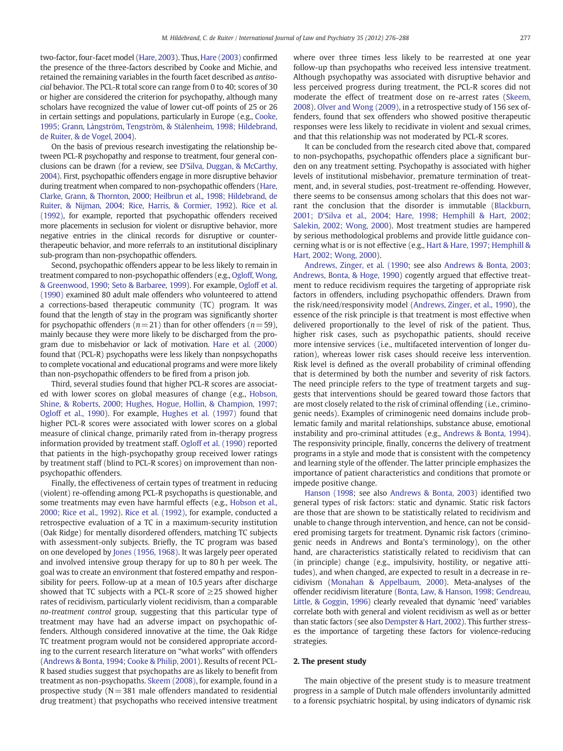two-factor, four-facet model (Hare, 2003). Thus, Hare (2003) confirmed the presence of the three-factors described by Cooke and Michie, and retained the remaining variables in the fourth facet described as antisocial behavior. The PCL-R total score can range from 0 to 40; scores of 30 or higher are considered the criterion for psychopathy, although many scholars have recognized the value of lower cut-off points of 25 or 26 in certain settings and populations, particularly in Europe (e.g., Cooke, 1995; Grann, Långström, Tengström, & Stålenheim, 1998; Hildebrand, de Ruiter, & de Vogel, 2004).

On the basis of previous research investigating the relationship between PCL-R psychopathy and response to treatment, four general conclusions can be drawn (for a review, see D'Silva, Duggan, & McCarthy, 2004). First, psychopathic offenders engage in more disruptive behavior during treatment when compared to non-psychopathic offenders (Hare, Clarke, Grann, & Thornton, 2000; Heilbrun et al., 1998; Hildebrand, de Ruiter, & Nijman, 2004; Rice, Harris, & Cormier, 1992). Rice et al. (1992), for example, reported that psychopathic offenders received more placements in seclusion for violent or disruptive behavior, more negative entries in the clinical records for disruptive or countertherapeutic behavior, and more referrals to an institutional disciplinary sub-program than non-psychopathic offenders.

Second, psychopathic offenders appear to be less likely to remain in treatment compared to non-psychopathic offenders (e.g., Ogloff, Wong, & Greenwood, 1990; Seto & Barbaree, 1999). For example, Ogloff et al. (1990) examined 80 adult male offenders who volunteered to attend a corrections-based therapeutic community (TC) program. It was found that the length of stay in the program was significantly shorter for psychopathic offenders ( $n=21$ ) than for other offenders ( $n=59$ ), mainly because they were more likely to be discharged from the program due to misbehavior or lack of motivation. Hare et al. (2000) found that (PCL-R) psychopaths were less likely than nonpsychopaths to complete vocational and educational programs and were more likely than non-psychopathic offenders to be fired from a prison job.

Third, several studies found that higher PCL-R scores are associated with lower scores on global measures of change (e.g., Hobson, Shine, & Roberts, 2000; Hughes, Hogue, Hollin, & Champion, 1997; Ogloff et al., 1990). For example, Hughes et al. (1997) found that higher PCL-R scores were associated with lower scores on a global measure of clinical change, primarily rated from in-therapy progress information provided by treatment staff. Ogloff et al. (1990) reported that patients in the high-psychopathy group received lower ratings by treatment staff (blind to PCL-R scores) on improvement than nonpsychopathic offenders.

Finally, the effectiveness of certain types of treatment in reducing (violent) re-offending among PCL-R psychopaths is questionable, and some treatments may even have harmful effects (e.g., Hobson et al., 2000; Rice et al., 1992). Rice et al. (1992), for example, conducted a retrospective evaluation of a TC in a maximum-security institution (Oak Ridge) for mentally disordered offenders, matching TC subjects with assessment-only subjects. Briefly, the TC program was based on one developed by Jones (1956, 1968). It was largely peer operated and involved intensive group therapy for up to 80 h per week. The goal was to create an environment that fostered empathy and responsibility for peers. Follow-up at a mean of 10.5 years after discharge showed that TC subjects with a PCL-R score of  $\geq$ 25 showed higher rates of recidivism, particularly violent recidivism, than a comparable no-treatment control group, suggesting that this particular type of treatment may have had an adverse impact on psychopathic offenders. Although considered innovative at the time, the Oak Ridge TC treatment program would not be considered appropriate according to the current research literature on "what works" with offenders (Andrews & Bonta, 1994; Cooke & Philip, 2001). Results of recent PCL-R based studies suggest that psychopaths are as likely to benefit from treatment as non-psychopaths. Skeem (2008), for example, found in a prospective study ( $N = 381$  male offenders mandated to residential drug treatment) that psychopaths who received intensive treatment where over three times less likely to be rearrested at one year follow-up than psychopaths who received less intensive treatment. Although psychopathy was associated with disruptive behavior and less perceived progress during treatment, the PCL-R scores did not moderate the effect of treatment dose on re-arrest rates (Skeem, 2008). Olver and Wong (2009), in a retrospective study of 156 sex offenders, found that sex offenders who showed positive therapeutic responses were less likely to recidivate in violent and sexual crimes, and that this relationship was not moderated by PCL-R scores.

It can be concluded from the research cited above that, compared to non-psychopaths, psychopathic offenders place a significant burden on any treatment setting. Psychopathy is associated with higher levels of institutional misbehavior, premature termination of treatment, and, in several studies, post-treatment re-offending. However, there seems to be consensus among scholars that this does not warrant the conclusion that the disorder is immutable (Blackburn, 2001; D'Silva et al., 2004; Hare, 1998; Hemphill & Hart, 2002; Salekin, 2002; Wong, 2000). Most treatment studies are hampered by serious methodological problems and provide little guidance concerning what is or is not effective (e.g., Hart & Hare, 1997; Hemphill & Hart, 2002; Wong, 2000).

Andrews, Zinger, et al. (1990; see also Andrews & Bonta, 2003; Andrews, Bonta, & Hoge, 1990) cogently argued that effective treatment to reduce recidivism requires the targeting of appropriate risk factors in offenders, including psychopathic offenders. Drawn from the risk/need/responsivity model (Andrews, Zinger, et al., 1990), the essence of the risk principle is that treatment is most effective when delivered proportionally to the level of risk of the patient. Thus, higher risk cases, such as psychopathic patients, should receive more intensive services (i.e., multifaceted intervention of longer duration), whereas lower risk cases should receive less intervention. Risk level is defined as the overall probability of criminal offending that is determined by both the number and severity of risk factors. The need principle refers to the type of treatment targets and suggests that interventions should be geared toward those factors that are most closely related to the risk of criminal offending (i.e., criminogenic needs). Examples of criminogenic need domains include problematic family and marital relationships, substance abuse, emotional instability and pro-criminal attitudes (e.g., Andrews & Bonta, 1994). The responsivity principle, finally, concerns the delivery of treatment programs in a style and mode that is consistent with the competency and learning style of the offender. The latter principle emphasizes the importance of patient characteristics and conditions that promote or impede positive change.

Hanson (1998; see also Andrews & Bonta, 2003) identified two general types of risk factors: static and dynamic. Static risk factors are those that are shown to be statistically related to recidivism and unable to change through intervention, and hence, can not be considered promising targets for treatment. Dynamic risk factors (criminogenic needs in Andrews and Bonta's terminology), on the other hand, are characteristics statistically related to recidivism that can (in principle) change (e.g., impulsivity, hostility, or negative attitudes), and when changed, are expected to result in a decrease in recidivism (Monahan & Appelbaum, 2000). Meta-analyses of the offender recidivism literature (Bonta, Law, & Hanson, 1998; Gendreau, Little, & Goggin, 1996) clearly revealed that dynamic 'need' variables correlate both with general and violent recidivism as well as or better than static factors (see also Dempster & Hart, 2002). This further stresses the importance of targeting these factors for violence-reducing strategies.

# 2. The present study

The main objective of the present study is to measure treatment progress in a sample of Dutch male offenders involuntarily admitted to a forensic psychiatric hospital, by using indicators of dynamic risk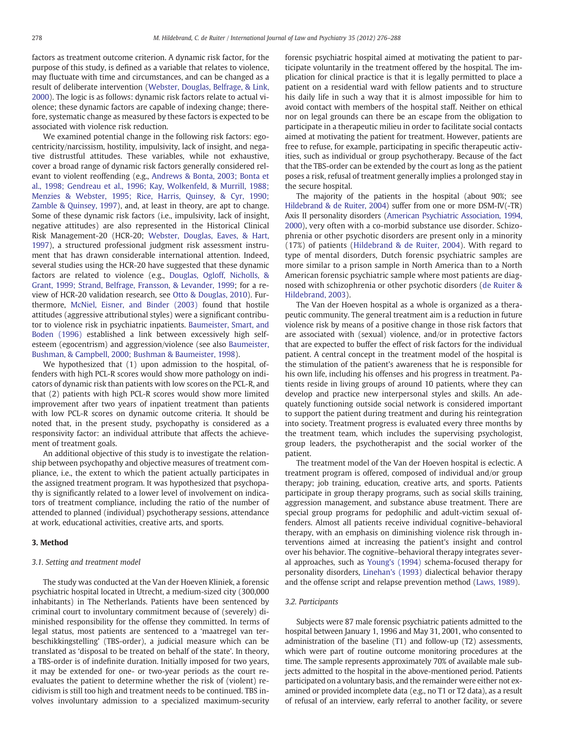factors as treatment outcome criterion. A dynamic risk factor, for the purpose of this study, is defined as a variable that relates to violence, may fluctuate with time and circumstances, and can be changed as a result of deliberate intervention (Webster, Douglas, Belfrage, & Link, 2000). The logic is as follows: dynamic risk factors relate to actual violence; these dynamic factors are capable of indexing change; therefore, systematic change as measured by these factors is expected to be associated with violence risk reduction.

We examined potential change in the following risk factors: egocentricity/narcissism, hostility, impulsivity, lack of insight, and negative distrustful attitudes. These variables, while not exhaustive, cover a broad range of dynamic risk factors generally considered relevant to violent reoffending (e.g., Andrews & Bonta, 2003; Bonta et al., 1998; Gendreau et al., 1996; Kay, Wolkenfeld, & Murrill, 1988; Menzies & Webster, 1995; Rice, Harris, Quinsey, & Cyr, 1990; Zamble & Quinsey, 1997), and, at least in theory, are apt to change. Some of these dynamic risk factors (i.e., impulsivity, lack of insight, negative attitudes) are also represented in the Historical Clinical Risk Management-20 (HCR-20; Webster, Douglas, Eaves, & Hart, 1997), a structured professional judgment risk assessment instrument that has drawn considerable international attention. Indeed, several studies using the HCR-20 have suggested that these dynamic factors are related to violence (e.g., Douglas, Ogloff, Nicholls, & Grant, 1999; Strand, Belfrage, Fransson, & Levander, 1999; for a review of HCR-20 validation research, see Otto & Douglas, 2010). Furthermore, McNiel, Eisner, and Binder (2003) found that hostile attitudes (aggressive attributional styles) were a significant contributor to violence risk in psychiatric inpatients. Baumeister, Smart, and Boden (1996) established a link between excessively high selfesteem (egocentrism) and aggression/violence (see also Baumeister, Bushman, & Campbell, 2000; Bushman & Baumeister, 1998).

We hypothesized that (1) upon admission to the hospital, offenders with high PCL-R scores would show more pathology on indicators of dynamic risk than patients with low scores on the PCL-R, and that (2) patients with high PCL-R scores would show more limited improvement after two years of inpatient treatment than patients with low PCL-R scores on dynamic outcome criteria. It should be noted that, in the present study, psychopathy is considered as a responsivity factor: an individual attribute that affects the achievement of treatment goals.

An additional objective of this study is to investigate the relationship between psychopathy and objective measures of treatment compliance, i.e., the extent to which the patient actually participates in the assigned treatment program. It was hypothesized that psychopathy is significantly related to a lower level of involvement on indicators of treatment compliance, including the ratio of the number of attended to planned (individual) psychotherapy sessions, attendance at work, educational activities, creative arts, and sports.

# 3. Method

# 3.1. Setting and treatment model

The study was conducted at the Van der Hoeven Kliniek, a forensic psychiatric hospital located in Utrecht, a medium-sized city (300,000 inhabitants) in The Netherlands. Patients have been sentenced by criminal court to involuntary commitment because of (severely) diminished responsibility for the offense they committed. In terms of legal status, most patients are sentenced to a 'maatregel van terbeschikkingstelling' (TBS-order), a judicial measure which can be translated as 'disposal to be treated on behalf of the state'. In theory, a TBS-order is of indefinite duration. Initially imposed for two years, it may be extended for one- or two-year periods as the court reevaluates the patient to determine whether the risk of (violent) recidivism is still too high and treatment needs to be continued. TBS involves involuntary admission to a specialized maximum-security

forensic psychiatric hospital aimed at motivating the patient to participate voluntarily in the treatment offered by the hospital. The implication for clinical practice is that it is legally permitted to place a patient on a residential ward with fellow patients and to structure his daily life in such a way that it is almost impossible for him to avoid contact with members of the hospital staff. Neither on ethical nor on legal grounds can there be an escape from the obligation to participate in a therapeutic milieu in order to facilitate social contacts aimed at motivating the patient for treatment. However, patients are free to refuse, for example, participating in specific therapeutic activities, such as individual or group psychotherapy. Because of the fact that the TBS-order can be extended by the court as long as the patient poses a risk, refusal of treatment generally implies a prolonged stay in the secure hospital.

The majority of the patients in the hospital (about 90%; see Hildebrand & de Ruiter, 2004) suffer from one or more DSM-IV(-TR) Axis II personality disorders (American Psychiatric Association, 1994, 2000), very often with a co-morbid substance use disorder. Schizophrenia or other psychotic disorders are present only in a minority (17%) of patients (Hildebrand & de Ruiter, 2004). With regard to type of mental disorders, Dutch forensic psychiatric samples are more similar to a prison sample in North America than to a North American forensic psychiatric sample where most patients are diagnosed with schizophrenia or other psychotic disorders (de Ruiter & Hildebrand, 2003).

The Van der Hoeven hospital as a whole is organized as a therapeutic community. The general treatment aim is a reduction in future violence risk by means of a positive change in those risk factors that are associated with (sexual) violence, and/or in protective factors that are expected to buffer the effect of risk factors for the individual patient. A central concept in the treatment model of the hospital is the stimulation of the patient's awareness that he is responsible for his own life, including his offenses and his progress in treatment. Patients reside in living groups of around 10 patients, where they can develop and practice new interpersonal styles and skills. An adequately functioning outside social network is considered important to support the patient during treatment and during his reintegration into society. Treatment progress is evaluated every three months by the treatment team, which includes the supervising psychologist, group leaders, the psychotherapist and the social worker of the patient.

The treatment model of the Van der Hoeven hospital is eclectic. A treatment program is offered, composed of individual and/or group therapy; job training, education, creative arts, and sports. Patients participate in group therapy programs, such as social skills training, aggression management, and substance abuse treatment. There are special group programs for pedophilic and adult-victim sexual offenders. Almost all patients receive individual cognitive–behavioral therapy, with an emphasis on diminishing violence risk through interventions aimed at increasing the patient's insight and control over his behavior. The cognitive–behavioral therapy integrates several approaches, such as Young's (1994) schema-focused therapy for personality disorders, Linehan's (1993) dialectical behavior therapy and the offense script and relapse prevention method (Laws, 1989).

#### 3.2. Participants

Subjects were 87 male forensic psychiatric patients admitted to the hospital between January 1, 1996 and May 31, 2001, who consented to administration of the baseline (T1) and follow-up (T2) assessments, which were part of routine outcome monitoring procedures at the time. The sample represents approximately 70% of available male subjects admitted to the hospital in the above-mentioned period. Patients participated on a voluntary basis, and the remainder were either not examined or provided incomplete data (e.g., no T1 or T2 data), as a result of refusal of an interview, early referral to another facility, or severe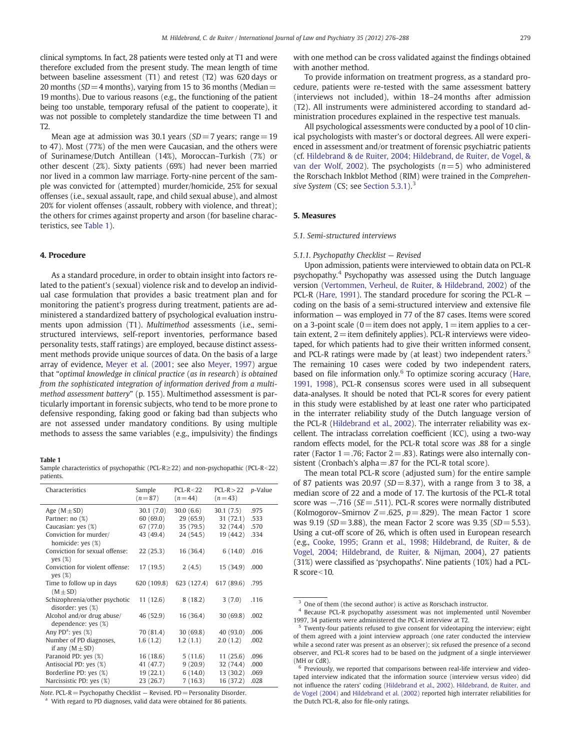clinical symptoms. In fact, 28 patients were tested only at T1 and were therefore excluded from the present study. The mean length of time between baseline assessment (T1) and retest (T2) was 620 days or 20 months ( $SD = 4$  months), varying from 15 to 36 months (Median = 19 months). Due to various reasons (e.g., the functioning of the patient being too unstable, temporary refusal of the patient to cooperate), it was not possible to completely standardize the time between T1 and T2.

Mean age at admission was 30.1 years ( $SD = 7$  years; range = 19 to 47). Most (77%) of the men were Caucasian, and the others were of Surinamese/Dutch Antillean (14%), Moroccan–Turkish (7%) or other descent (2%). Sixty patients (69%) had never been married nor lived in a common law marriage. Forty-nine percent of the sample was convicted for (attempted) murder/homicide, 25% for sexual offenses (i.e., sexual assault, rape, and child sexual abuse), and almost 20% for violent offenses (assault, robbery with violence, and threat); the others for crimes against property and arson (for baseline characteristics, see Table 1).

# 4. Procedure

As a standard procedure, in order to obtain insight into factors related to the patient's (sexual) violence risk and to develop an individual case formulation that provides a basic treatment plan and for monitoring the patient's progress during treatment, patients are administered a standardized battery of psychological evaluation instruments upon admission (T1). Multimethod assessments (i.e., semistructured interviews, self-report inventories, performance based personality tests, staff ratings) are employed, because distinct assessment methods provide unique sources of data. On the basis of a large array of evidence, Meyer et al. (2001; see also Meyer, 1997) argue that "optimal knowledge in clinical practice (as in research) is obtained from the sophisticated integration of information derived from a multimethod assessment battery" (p. 155). Multimethod assessment is particularly important in forensic subjects, who tend to be more prone to defensive responding, faking good or faking bad than subjects who are not assessed under mandatory conditions. By using multiple methods to assess the same variables (e.g., impulsivity) the findings

#### Table 1

Sample characteristics of psychopathic (PCL-R $\geq$ 22) and non-psychopathic (PCL-R<22) patients.

| Characteristics                                    | Sample<br>$(n=87)$ | $PCL-R < 22$<br>$(n = 44)$ | $PCL-R > 22$<br>$(n=43)$ | <i>p</i> -Value |
|----------------------------------------------------|--------------------|----------------------------|--------------------------|-----------------|
| Age $(M \pm SD)$                                   | 30.1(7.0)          | 30.0(6.6)                  | 30.1(7.5)                | .975            |
| Partner: no (%)                                    | 60(69.0)           | 29(65.9)                   | 31(72.1)                 | .533            |
| Caucasian: yes (%)                                 | 67 (77.0)          | 35(79.5)                   | 32 (74.4)                | .570            |
| Conviction for murder/<br>homicide: yes (%)        | 43 (49.4)          | 24 (54.5)                  | 19 (44.2)                | .334            |
| Conviction for sexual offense:<br>yes $(\%)$       | 22(25.3)           | 16(36.4)                   | 6(14.0)                  | .016            |
| Conviction for violent offense:<br>yes $(\%)$      | 17(19.5)           | 2(4.5)                     | 15(34.9)                 | .000            |
| Time to follow up in days<br>$(M \pm SD)$          | 620 (109.8)        | 623 (127.4)                | 617 (89.6)               | .795            |
| Schizophrenia/other psychotic<br>disorder: yes (%) | 11(12.6)           | 8(18.2)                    | 3(7.0)                   | .116            |
| Alcohol and/or drug abuse/<br>dependence: yes (%)  | 46 (52.9)          | 16 (36.4)                  | 30 (69.8)                | .002            |
| Any PD <sup>a</sup> : yes $(\%)$                   | 70 (81.4)          | 30(69.8)                   | 40(93.0)                 | .006            |
| Number of PD diagnoses,<br>if any $(M \pm SD)$     | 1.6(1.2)           | 1.2(1.1)                   | 2.0(1.2)                 | .002            |
| Paranoid PD: yes (%)                               | 16(18.6)           | 5(11.6)                    | 11(25.6)                 | .096            |
| Antisocial PD: yes (%)                             | 41 (47.7)          | 9(20.9)                    | 32 (74.4)                | .000            |
| Borderline PD: yes (%)                             | 19(22.1)           | 6(14.0)                    | 13 (30.2)                | .069            |
| Narcissistic PD: yes (%)                           | 23 (26.7)          | 7(16.3)                    | 16 (37.2)                | .028            |

Note. PCL-R = Psychopathy Checklist  $-$  Revised. PD = Personality Disorder. With regard to PD diagnoses, valid data were obtained for 86 patients. with one method can be cross validated against the findings obtained with another method.

To provide information on treatment progress, as a standard procedure, patients were re-tested with the same assessment battery (interviews not included), within 18–24 months after admission (T2). All instruments were administered according to standard administration procedures explained in the respective test manuals.

All psychological assessments were conducted by a pool of 10 clinical psychologists with master's or doctoral degrees. All were experienced in assessment and/or treatment of forensic psychiatric patients (cf. Hildebrand & de Ruiter, 2004; Hildebrand, de Ruiter, de Vogel, & van der Wolf, 2002). The psychologists  $(n=5)$  who administered the Rorschach Inkblot Method (RIM) were trained in the Comprehensive System (CS; see Section  $5.3.1$ ).<sup>3</sup>

# 5. Measures

# 5.1. Semi-structured interviews

# 5.1.1. Psychopathy Checklist — Revised

Upon admission, patients were interviewed to obtain data on PCL-R psychopathy.<sup>4</sup> Psychopathy was assessed using the Dutch language version (Vertommen, Verheul, de Ruiter, & Hildebrand, 2002) of the PCL-R (Hare, 1991). The standard procedure for scoring the PCL-R coding on the basis of a semi-structured interview and extensive file information — was employed in 77 of the 87 cases. Items were scored on a 3-point scale ( $0=$ item does not apply,  $1=$ item applies to a certain extent,  $2$  = item definitely applies). PCL-R interviews were videotaped, for which patients had to give their written informed consent, and PCL-R ratings were made by (at least) two independent raters.<sup>5</sup> The remaining 10 cases were coded by two independent raters, based on file information only.<sup>6</sup> To optimize scoring accuracy (Hare, 1991, 1998), PCL-R consensus scores were used in all subsequent data-analyses. It should be noted that PCL-R scores for every patient in this study were established by at least one rater who participated in the interrater reliability study of the Dutch language version of the PCL-R (Hildebrand et al., 2002). The interrater reliability was excellent. The intraclass correlation coefficient (ICC), using a two-way random effects model, for the PCL-R total score was .88 for a single rater (Factor  $1 = .76$ ; Factor  $2 = .83$ ). Ratings were also internally consistent (Cronbach's alpha=.87 for the PCL-R total score).

The mean total PCL-R score (adjusted sum) for the entire sample of 87 patients was 20.97 ( $SD = 8.37$ ), with a range from 3 to 38, a median score of 22 and a mode of 17. The kurtosis of the PCL-R total score was -.716 (SE = .511). PCL-R scores were normally distributed (Kolmogorov–Smirnov  $Z = .625$ ,  $p = .829$ ). The mean Factor 1 score was 9.19 ( $SD = 3.88$ ), the mean Factor 2 score was 9.35 ( $SD = 5.53$ ). Using a cut-off score of 26, which is often used in European research (e.g., Cooke, 1995; Grann et al., 1998; Hildebrand, de Ruiter, & de Vogel, 2004; Hildebrand, de Ruiter, & Nijman, 2004), 27 patients (31%) were classified as 'psychopaths'. Nine patients (10%) had a PCL-R score $<$ 10.

<sup>&</sup>lt;sup>3</sup> One of them (the second author) is active as Rorschach instructor.

<sup>4</sup> Because PCL-R psychopathy assessment was not implemented until November 1997, 34 patients were administered the PCL-R interview at T2.

<sup>&</sup>lt;sup>5</sup> Twenty-four patients refused to give consent for videotaping the interview; eight of them agreed with a joint interview approach (one rater conducted the interview while a second rater was present as an observer); six refused the presence of a second observer, and PCL-R scores had to be based on the judgment of a single interviewer (MH or CdR).

 $6$  Previously, we reported that comparisons between real-life interview and videotaped interview indicated that the information source (interview versus video) did not influence the raters' coding (Hildebrand et al., 2002). Hildebrand, de Ruiter, and de Vogel (2004) and Hildebrand et al. (2002) reported high interrater reliabilities for the Dutch PCL-R, also for file-only ratings.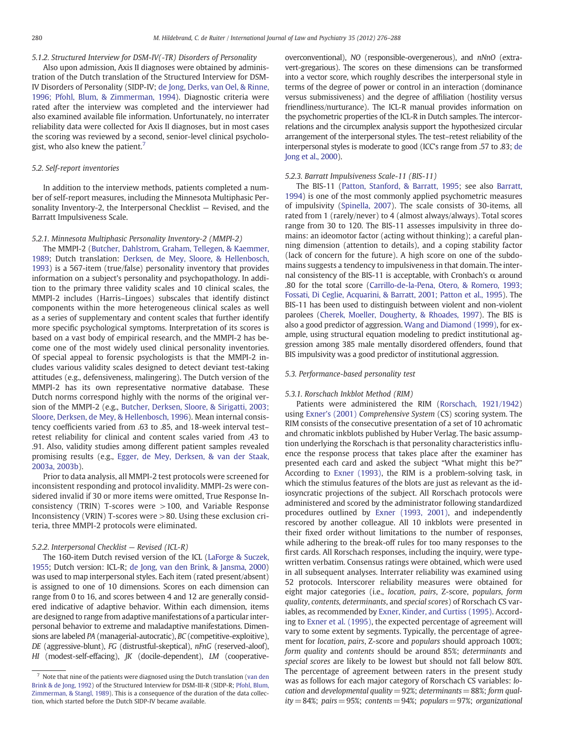# 5.1.2. Structured Interview for DSM-IV(-TR) Disorders of Personality

Also upon admission, Axis II diagnoses were obtained by administration of the Dutch translation of the Structured Interview for DSM-IV Disorders of Personality (SIDP-IV; de Jong, Derks, van Oel, & Rinne, 1996; Pfohl, Blum, & Zimmerman, 1994). Diagnostic criteria were rated after the interview was completed and the interviewer had also examined available file information. Unfortunately, no interrater reliability data were collected for Axis II diagnoses, but in most cases the scoring was reviewed by a second, senior-level clinical psychologist, who also knew the patient.<sup>7</sup>

# 5.2. Self-report inventories

In addition to the interview methods, patients completed a number of self-report measures, including the Minnesota Multiphasic Personality Inventory-2, the Interpersonal Checklist — Revised, and the Barratt Impulsiveness Scale.

# 5.2.1. Minnesota Multiphasic Personality Inventory-2 (MMPI-2)

The MMPI-2 (Butcher, Dahlstrom, Graham, Tellegen, & Kaemmer, 1989; Dutch translation: Derksen, de Mey, Sloore, & Hellenbosch, 1993) is a 567-item (true/false) personality inventory that provides information on a subject's personality and psychopathology. In addition to the primary three validity scales and 10 clinical scales, the MMPI-2 includes (Harris–Lingoes) subscales that identify distinct components within the more heterogeneous clinical scales as well as a series of supplementary and content scales that further identify more specific psychological symptoms. Interpretation of its scores is based on a vast body of empirical research, and the MMPI-2 has become one of the most widely used clinical personality inventories. Of special appeal to forensic psychologists is that the MMPI-2 includes various validity scales designed to detect deviant test-taking attitudes (e.g., defensiveness, malingering). The Dutch version of the MMPI-2 has its own representative normative database. These Dutch norms correspond highly with the norms of the original version of the MMPI-2 (e.g., Butcher, Derksen, Sloore, & Sirigatti, 2003; Sloore, Derksen, de Mey, & Hellenbosch, 1996). Mean internal consistency coefficients varied from .63 to .85, and 18-week interval test– retest reliability for clinical and content scales varied from .43 to .91. Also, validity studies among different patient samples revealed promising results (e.g., Egger, de Mey, Derksen, & van der Staak, 2003a, 2003b).

Prior to data analysis, all MMPI-2 test protocols were screened for inconsistent responding and protocol invalidity. MMPI-2s were considered invalid if 30 or more items were omitted, True Response Inconsistency (TRIN) T-scores were >100, and Variable Response Inconsistency (VRIN) T-scores were >80. Using these exclusion criteria, three MMPI-2 protocols were eliminated.

# 5.2.2. Interpersonal Checklist — Revised (ICL-R)

The 160-item Dutch revised version of the ICL (LaForge & Suczek, 1955; Dutch version: ICL-R; de Jong, van den Brink, & Jansma, 2000) was used to map interpersonal styles. Each item (rated present/absent) is assigned to one of 10 dimensions. Scores on each dimension can range from 0 to 16, and scores between 4 and 12 are generally considered indicative of adaptive behavior. Within each dimension, items are designed to range from adaptive manifestations of a particular interpersonal behavior to extreme and maladaptive manifestations. Dimensions are labeled PA (managerial-autocratic), BC (competitive-exploitive), DE (aggressive-blunt), FG (distrustful-skeptical), nFnG (reserved-aloof), HI (modest-self-effacing), JK (docile-dependent), LM (cooperative-

overconventional), NO (responsible-overgenerous), and nNnO (extravert-gregarious). The scores on these dimensions can be transformed into a vector score, which roughly describes the interpersonal style in terms of the degree of power or control in an interaction (dominance versus submissiveness) and the degree of affiliation (hostility versus friendliness/nurturance). The ICL-R manual provides information on the psychometric properties of the ICL-R in Dutch samples. The intercorrelations and the circumplex analysis support the hypothesized circular arrangement of the interpersonal styles. The test–retest reliability of the interpersonal styles is moderate to good (ICC's range from .57 to .83; de Jong et al., 2000).

# 5.2.3. Barratt Impulsiveness Scale-11 (BIS-11)

The BIS-11 (Patton, Stanford, & Barratt, 1995; see also Barratt, 1994) is one of the most commonly applied psychometric measures of impulsivity (Spinella, 2007). The scale consists of 30-items, all rated from 1 (rarely/never) to 4 (almost always/always). Total scores range from 30 to 120. The BIS-11 assesses impulsivity in three domains: an ideomotor factor (acting without thinking); a careful planning dimension (attention to details), and a coping stability factor (lack of concern for the future). A high score on one of the subdomains suggests a tendency to impulsiveness in that domain. The internal consistency of the BIS-11 is acceptable, with Cronbach's  $\alpha$  around .80 for the total score (Carrillo-de-la-Pena, Otero, & Romero, 1993; Fossati, Di Ceglie, Acquarini, & Barratt, 2001; Patton et al., 1995). The BIS-11 has been used to distinguish between violent and non-violent parolees (Cherek, Moeller, Dougherty, & Rhoades, 1997). The BIS is also a good predictor of aggression. Wang and Diamond (1999), for example, using structural equation modeling to predict institutional aggression among 385 male mentally disordered offenders, found that BIS impulsivity was a good predictor of institutional aggression.

#### 5.3. Performance-based personality test

# 5.3.1. Rorschach Inkblot Method (RIM)

Patients were administered the RIM (Rorschach, 1921/1942) using Exner's (2001) Comprehensive System (CS) scoring system. The RIM consists of the consecutive presentation of a set of 10 achromatic and chromatic inkblots published by Huber Verlag. The basic assumption underlying the Rorschach is that personality characteristics influence the response process that takes place after the examiner has presented each card and asked the subject "What might this be?" According to Exner (1993), the RIM is a problem-solving task, in which the stimulus features of the blots are just as relevant as the idiosyncratic projections of the subject. All Rorschach protocols were administered and scored by the administrator following standardized procedures outlined by Exner (1993, 2001), and independently rescored by another colleague. All 10 inkblots were presented in their fixed order without limitations to the number of responses, while adhering to the break-off rules for too many responses to the first cards. All Rorschach responses, including the inquiry, were typewritten verbatim. Consensus ratings were obtained, which were used in all subsequent analyses. Interrater reliability was examined using 52 protocols. Interscorer reliability measures were obtained for eight major categories (i.e., location, pairs, Z-score, populars, form quality, contents, determinants, and special scores) of Rorschach CS variables, as recommended by Exner, Kinder, and Curtiss (1995). According to Exner et al. (1995), the expected percentage of agreement will vary to some extent by segments. Typically, the percentage of agreement for location, pairs, Z-score and populars should approach 100%; form quality and contents should be around 85%; determinants and special scores are likely to be lowest but should not fall below 80%. The percentage of agreement between raters in the present study was as follows for each major category of Rorschach CS variables: location and developmental quality = 92%; determinants = 88%; form quality = 84%; pairs = 95%; contents = 94%; populars = 97%; organizational

 $^7\,$  Note that nine of the patients were diagnosed using the Dutch translation (van den Brink & de Jong, 1992) of the Structured Interview for DSM-III-R (SIDP-R; Pfohl, Blum, Zimmerman, & Stangl, 1989). This is a consequence of the duration of the data collection, which started before the Dutch SIDP-IV became available.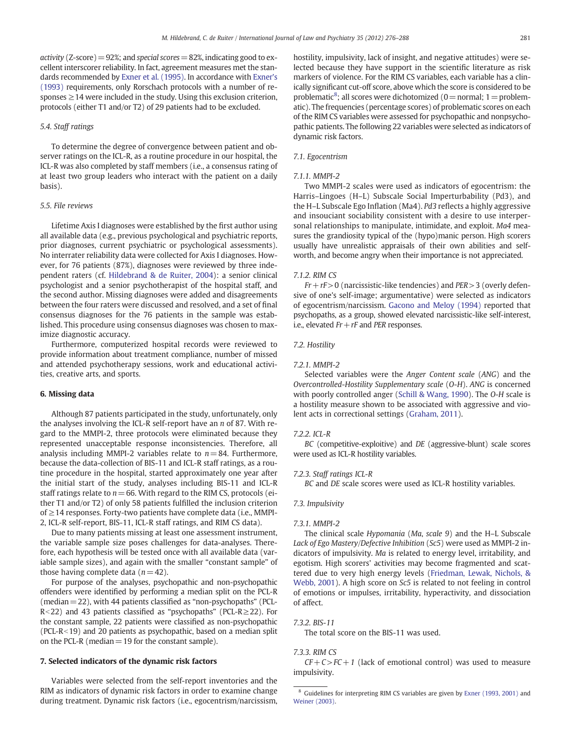activity ( $\text{Z-score}$ ) = 92%; and special scores = 82%, indicating good to excellent interscorer reliability. In fact, agreement measures met the standards recommended by Exner et al. (1995). In accordance with Exner's (1993) requirements, only Rorschach protocols with a number of responses  $\geq$  14 were included in the study. Using this exclusion criterion, protocols (either T1 and/or T2) of 29 patients had to be excluded.

# 5.4. Staff ratings

To determine the degree of convergence between patient and observer ratings on the ICL-R, as a routine procedure in our hospital, the ICL-R was also completed by staff members (i.e., a consensus rating of at least two group leaders who interact with the patient on a daily basis).

# 5.5. File reviews

Lifetime Axis I diagnoses were established by the first author using all available data (e.g., previous psychological and psychiatric reports, prior diagnoses, current psychiatric or psychological assessments). No interrater reliability data were collected for Axis I diagnoses. However, for 76 patients (87%), diagnoses were reviewed by three independent raters (cf. Hildebrand & de Ruiter, 2004): a senior clinical psychologist and a senior psychotherapist of the hospital staff, and the second author. Missing diagnoses were added and disagreements between the four raters were discussed and resolved, and a set of final consensus diagnoses for the 76 patients in the sample was established. This procedure using consensus diagnoses was chosen to maximize diagnostic accuracy.

Furthermore, computerized hospital records were reviewed to provide information about treatment compliance, number of missed and attended psychotherapy sessions, work and educational activities, creative arts, and sports.

# 6. Missing data

Although 87 patients participated in the study, unfortunately, only the analyses involving the ICL-R self-report have an n of 87. With regard to the MMPI-2, three protocols were eliminated because they represented unacceptable response inconsistencies. Therefore, all analysis including MMPI-2 variables relate to  $n=84$ . Furthermore, because the data-collection of BIS-11 and ICL-R staff ratings, as a routine procedure in the hospital, started approximately one year after the initial start of the study, analyses including BIS-11 and ICL-R staff ratings relate to  $n = 66$ . With regard to the RIM CS, protocols (either T1 and/or T2) of only 58 patients fulfilled the inclusion criterion of ≥14 responses. Forty-two patients have complete data (i.e., MMPI-2, ICL-R self-report, BIS-11, ICL-R staff ratings, and RIM CS data).

Due to many patients missing at least one assessment instrument, the variable sample size poses challenges for data-analyses. Therefore, each hypothesis will be tested once with all available data (variable sample sizes), and again with the smaller "constant sample" of those having complete data  $(n= 42)$ .

For purpose of the analyses, psychopathic and non-psychopathic offenders were identified by performing a median split on the PCL-R (median  $=$  22), with 44 patients classified as "non-psychopaths" (PCL-R<22) and 43 patients classified as "psychopaths" (PCL-R $\ge$ 22). For the constant sample, 22 patients were classified as non-psychopathic (PCL-R $<$ 19) and 20 patients as psychopathic, based on a median split on the PCL-R (median  $=19$  for the constant sample).

# 7. Selected indicators of the dynamic risk factors

Variables were selected from the self-report inventories and the RIM as indicators of dynamic risk factors in order to examine change during treatment. Dynamic risk factors (i.e., egocentrism/narcissism,

hostility, impulsivity, lack of insight, and negative attitudes) were selected because they have support in the scientific literature as risk markers of violence. For the RIM CS variables, each variable has a clinically significant cut-off score, above which the score is considered to be problematic<sup>8</sup>; all scores were dichotomized (0 = normal; 1 = problematic). The frequencies (percentage scores) of problematic scores on each of the RIM CS variables were assessed for psychopathic and nonpsychopathic patients. The following 22 variables were selected as indicators of dynamic risk factors.

#### 7.1. Egocentrism

#### 7.1.1. MMPI-2

Two MMPI-2 scales were used as indicators of egocentrism: the Harris–Lingoes (H–L) Subscale Social Imperturbability (Pd3), and the H–L Subscale Ego Inflation (Ma4). Pd3 reflects a highly aggressive and insouciant sociability consistent with a desire to use interpersonal relationships to manipulate, intimidate, and exploit. Ma4 measures the grandiosity typical of the (hypo)manic person. High scorers usually have unrealistic appraisals of their own abilities and selfworth, and become angry when their importance is not appreciated.

#### 7.1.2. RIM CS

 $Fr + rF > 0$  (narcissistic-like tendencies) and  $PER > 3$  (overly defensive of one's self-image; argumentative) were selected as indicators of egocentrism/narcissism. Gacono and Meloy (1994) reported that psychopaths, as a group, showed elevated narcissistic-like self-interest, i.e., elevated  $Fr + rF$  and PER responses.

## 7.2. Hostility

# 7.2.1. MMPI-2

Selected variables were the Anger Content scale (ANG) and the Overcontrolled-Hostility Supplementary scale (O-H). ANG is concerned with poorly controlled anger (Schill & Wang, 1990). The O-H scale is a hostility measure shown to be associated with aggressive and violent acts in correctional settings (Graham, 2011).

#### $722$  ICL-R

BC (competitive-exploitive) and DE (aggressive-blunt) scale scores were used as ICL-R hostility variables.

## 7.2.3. Staff ratings ICL-R

BC and DE scale scores were used as ICL-R hostility variables.

# 7.3. Impulsivity

#### 7.3.1. MMPI-2

The clinical scale Hypomania (Ma, scale 9) and the H–L Subscale Lack of Ego Mastery/Defective Inhibition (Sc5) were used as MMPI-2 indicators of impulsivity. Ma is related to energy level, irritability, and egotism. High scorers' activities may become fragmented and scattered due to very high energy levels (Friedman, Lewak, Nichols, & Webb, 2001). A high score on Sc5 is related to not feeling in control of emotions or impulses, irritability, hyperactivity, and dissociation of affect.

# 7.3.2. BIS-11

The total score on the BIS-11 was used.

#### 7.3.3. RIM CS

 $CF + C > FC + 1$  (lack of emotional control) was used to measure impulsivity.

<sup>8</sup> Guidelines for interpreting RIM CS variables are given by Exner (1993, 2001) and Weiner (2003).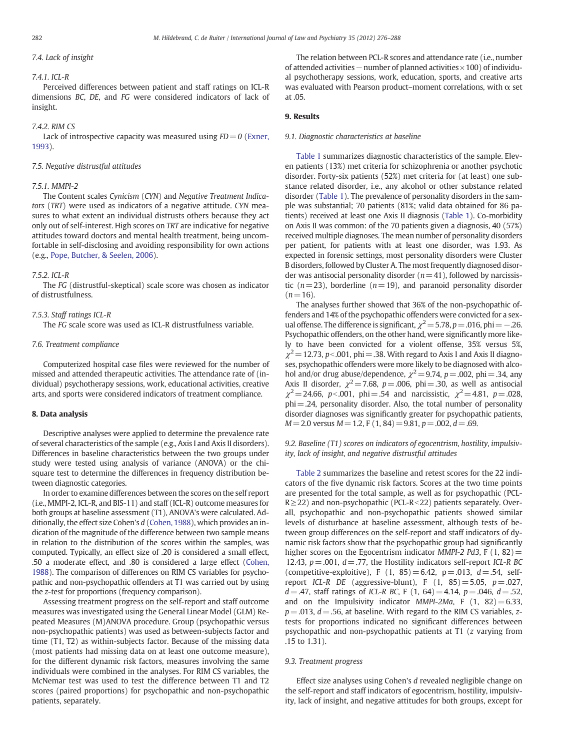## 7.4. Lack of insight

#### 7.4.1. ICL-R

Perceived differences between patient and staff ratings on ICL-R dimensions BC, DE, and FG were considered indicators of lack of insight.

#### 7.4.2. RIM CS

Lack of introspective capacity was measured using  $FD = 0$  (Exner, 1993).

# 7.5. Negative distrustful attitudes

# 7.5.1. MMPI-2

The Content scales Cynicism (CYN) and Negative Treatment Indicators (TRT) were used as indicators of a negative attitude. CYN measures to what extent an individual distrusts others because they act only out of self-interest. High scores on TRT are indicative for negative attitudes toward doctors and mental health treatment, being uncomfortable in self-disclosing and avoiding responsibility for own actions (e.g., Pope, Butcher, & Seelen, 2006).

#### 7.5.2. ICL-R

The FG (distrustful-skeptical) scale score was chosen as indicator of distrustfulness.

# 7.5.3. Staff ratings ICL-R

The FG scale score was used as ICL-R distrustfulness variable.

# 7.6. Treatment compliance

Computerized hospital case files were reviewed for the number of missed and attended therapeutic activities. The attendance rate of (individual) psychotherapy sessions, work, educational activities, creative arts, and sports were considered indicators of treatment compliance.

# 8. Data analysis

Descriptive analyses were applied to determine the prevalence rate of several characteristics of the sample (e.g., Axis I and Axis II disorders). Differences in baseline characteristics between the two groups under study were tested using analysis of variance (ANOVA) or the chisquare test to determine the differences in frequency distribution between diagnostic categories.

In order to examine differences between the scores on the self report (i.e., MMPI-2, ICL-R, and BIS-11) and staff (ICL-R) outcome measures for both groups at baseline assessment (T1), ANOVA's were calculated. Additionally, the effect size Cohen's d (Cohen, 1988), which provides an indication of the magnitude of the difference between two sample means in relation to the distribution of the scores within the samples, was computed. Typically, an effect size of .20 is considered a small effect, .50 a moderate effect, and .80 is considered a large effect (Cohen, 1988). The comparison of differences on RIM CS variables for psychopathic and non-psychopathic offenders at T1 was carried out by using the z-test for proportions (frequency comparison).

Assessing treatment progress on the self-report and staff outcome measures was investigated using the General Linear Model (GLM) Repeated Measures (M)ANOVA procedure. Group (psychopathic versus non-psychopathic patients) was used as between-subjects factor and time (T1, T2) as within-subjects factor. Because of the missing data (most patients had missing data on at least one outcome measure), for the different dynamic risk factors, measures involving the same individuals were combined in the analyses. For RIM CS variables, the McNemar test was used to test the difference between T1 and T2 scores (paired proportions) for psychopathic and non-psychopathic patients, separately.

The relation between PCL-R scores and attendance rate (i.e., number of attended activities−number of planned activities×100) of individual psychotherapy sessions, work, education, sports, and creative arts was evaluated with Pearson product–moment correlations, with  $\alpha$  set at .05.

# 9. Results

# 9.1. Diagnostic characteristics at baseline

Table 1 summarizes diagnostic characteristics of the sample. Eleven patients (13%) met criteria for schizophrenia or another psychotic disorder. Forty-six patients (52%) met criteria for (at least) one substance related disorder, i.e., any alcohol or other substance related disorder (Table 1). The prevalence of personality disorders in the sample was substantial; 70 patients (81%; valid data obtained for 86 patients) received at least one Axis II diagnosis (Table 1). Co-morbidity on Axis II was common: of the 70 patients given a diagnosis, 40 (57%) received multiple diagnoses. The mean number of personality disorders per patient, for patients with at least one disorder, was 1.93. As expected in forensic settings, most personality disorders were Cluster B disorders, followed by Cluster A. The most frequently diagnosed disorder was antisocial personality disorder ( $n=41$ ), followed by narcissistic  $(n=23)$ , borderline  $(n=19)$ , and paranoid personality disorder  $(n=16)$ .

The analyses further showed that 36% of the non-psychopathic offenders and 14% of the psychopathic offenders were convicted for a sexual offense. The difference is significant,  $\chi^2$  = 5.78, p = .016, phi = -.26. Psychopathic offenders, on the other hand, were significantly more likely to have been convicted for a violent offense, 35% versus 5%,  $\chi^2$  = 12.73, p < .001, phi = .38. With regard to Axis I and Axis II diagnoses, psychopathic offenders were more likely to be diagnosed with alcohol and/or drug abuse/dependence,  $\chi^2$  = 9.74, p = .002, phi = .34, any Axis II disorder,  $\chi^2$  = 7.68, p = .006, phi = .30, as well as antisocial  $\chi^2$  = 24.66, p < .001, phi = .54 and narcissistic,  $\chi^2$  = 4.81, p = .028, phi=.24, personality disorder. Also, the total number of personality disorder diagnoses was significantly greater for psychopathic patients,  $M=2.0$  versus  $M=1.2$ , F (1, 84) = 9.81, p = .002, d = .69.

9.2. Baseline (T1) scores on indicators of egocentrism, hostility, impulsivity, lack of insight, and negative distrustful attitudes

Table 2 summarizes the baseline and retest scores for the 22 indicators of the five dynamic risk factors. Scores at the two time points are presented for the total sample, as well as for psychopathic (PCL- $R \geq 22$ ) and non-psychopathic (PCL-R<22) patients separately. Overall, psychopathic and non-psychopathic patients showed similar levels of disturbance at baseline assessment, although tests of between group differences on the self-report and staff indicators of dynamic risk factors show that the psychopathic group had significantly higher scores on the Egocentrism indicator MMPI-2 Pd3, F  $(1, 82)$  = 12.43,  $p = .001$ ,  $d = .77$ , the Hostility indicators self-report ICL-R BC (competitive-exploitive), F (1, 85) = 6.42, p = .013,  $d = .54$ , selfreport ICL-R DE (aggressive-blunt), F  $(1, 85) = 5.05$ ,  $p = .027$ ,  $d = .47$ , staff ratings of ICL-R BC, F (1, 64) = 4.14, p = .046, d = .52, and on the Impulsivity indicator MMPI-2Ma, F  $(1, 82) = 6.33$ ,  $p = .013$ ,  $d = .56$ , at baseline. With regard to the RIM CS variables,  $z$ tests for proportions indicated no significant differences between psychopathic and non-psychopathic patients at T1 (z varying from .15 to 1.31).

# 9.3. Treatment progress

Effect size analyses using Cohen's d revealed negligible change on the self-report and staff indicators of egocentrism, hostility, impulsivity, lack of insight, and negative attitudes for both groups, except for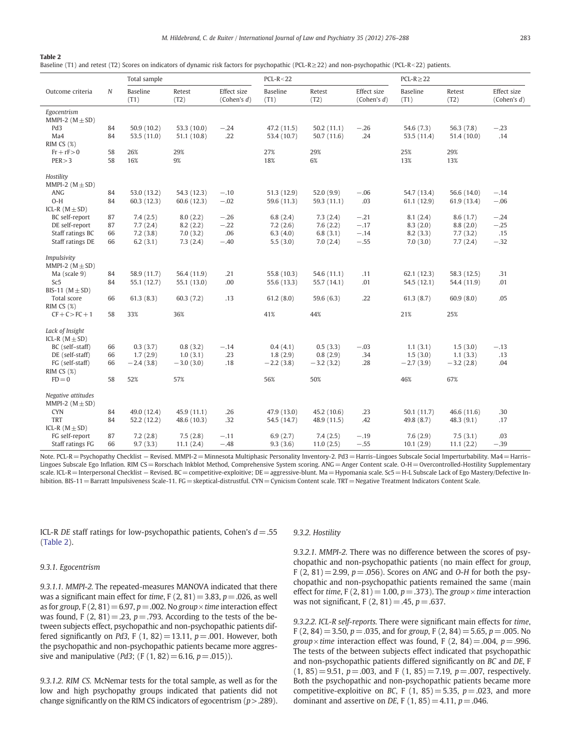#### Table 2

Baseline (T1) and retest (T2) Scores on indicators of dynamic risk factors for psychopathic (PCL-R≥22) and non-psychopathic (PCL-R<22) patients.

|                                             |          | Total sample              |                            |                               | $PCL-R < 22$               |                           |                               | $PCL-R \geq 22$           |                           |                               |  |
|---------------------------------------------|----------|---------------------------|----------------------------|-------------------------------|----------------------------|---------------------------|-------------------------------|---------------------------|---------------------------|-------------------------------|--|
| Outcome criteria                            | $\cal N$ | Baseline<br>(T1)          | Retest<br>(T2)             | Effect size<br>(Cohen's $d$ ) | Baseline<br>(T1)           | Retest<br>(T2)            | Effect size<br>(Cohen's $d$ ) | Baseline<br>(T1)          | Retest<br>(T2)            | Effect size<br>(Cohen's $d$ ) |  |
| Egocentrism                                 |          |                           |                            |                               |                            |                           |                               |                           |                           |                               |  |
| MMPI-2 $(M \pm SD)$                         |          |                           |                            |                               |                            |                           |                               |                           |                           |                               |  |
| Pd <sub>3</sub><br>Ma4                      | 84<br>84 | 50.9(10.2)<br>53.5 (11.0) | 53.3 (10.0)<br>51.1 (10.8) | $-.24$<br>.22                 | 47.2 (11.5)<br>53.4 (10.7) | 50.2(11.1)<br>50.7 (11.6) | $-.26$<br>.24                 | 54.6 (7.3)<br>53.5 (11.4) | 56.3 (7.8)<br>51.4 (10.0) | $-.23$<br>.14                 |  |
| RIM CS $(\%)$                               |          |                           |                            |                               |                            |                           |                               |                           |                           |                               |  |
| $Fr + rF > 0$                               | 58       | 26%                       | 29%                        |                               | 27%                        | 29%                       |                               | 25%                       | 29%                       |                               |  |
| PER > 3                                     | 58       | 16%                       | 9%                         |                               | 18%                        | 6%                        |                               | 13%                       | 13%                       |                               |  |
| Hostility<br>MMPI-2 ( $M \pm SD$ )          |          |                           |                            |                               |                            |                           |                               |                           |                           |                               |  |
| <b>ANG</b>                                  | 84       | 53.0 (13.2)               | 54.3 (12.3)                | $-.10$                        | 51.3 (12.9)                | 52.0(9.9)                 | $-.06$                        | 54.7 (13.4)               | 56.6 (14.0)               | $-.14$                        |  |
| $O-H$                                       | 84       | 60.3(12.3)                | 60.6 (12.3)                | $-.02$                        | 59.6 (11.3)                | 59.3 (11.1)               | .03                           | 61.1 (12.9)               | 61.9 (13.4)               | $-.06$                        |  |
| ICL-R $(M \pm SD)$                          |          |                           |                            |                               |                            |                           |                               |                           |                           |                               |  |
| BC self-report                              | 87       | 7.4(2.5)                  | 8.0(2.2)                   | $-.26$                        | 6.8(2.4)                   | 7.3(2.4)                  | $-.21$                        | 8.1(2.4)                  | 8.6(1.7)                  | $-.24$                        |  |
| DE self-report                              | 87       | 7.7(2.4)                  | 8.2(2.2)                   | $-.22$                        | 7.2(2.6)                   | 7.6(2.2)                  | $-.17$                        | 8.3(2.0)                  | 8.8(2.0)                  | $-.25$                        |  |
| Staff ratings BC                            | 66       | 7.2(3.8)                  | 7.0(3.2)                   | .06                           | 6.3 $(4.0)$                | 6.8(3.1)                  | $-.14$                        | 8.2(3.3)                  | 7.7(3.2)                  | .15                           |  |
| Staff ratings DE                            | 66       | 6.2(3.1)                  | 7.3(2.4)                   | $-.40$                        | 5.5(3.0)                   | 7.0(2.4)                  | $-.55$                        | 7.0(3.0)                  | 7.7(2.4)                  | $-.32$                        |  |
| Impulsivity                                 |          |                           |                            |                               |                            |                           |                               |                           |                           |                               |  |
| MMPI-2 $(M \pm SD)$                         |          |                           |                            |                               |                            |                           |                               |                           |                           |                               |  |
| Ma (scale 9)                                | 84       | 58.9 (11.7)               | 56.4 (11.9)                | .21                           | 55.8 (10.3)                | 54.6 (11.1)               | .11                           | 62.1(12.3)                | 58.3 (12.5)               | .31                           |  |
| Sc <sub>5</sub>                             | 84       | 55.1 (12.7)               | 55.1 (13.0)                | .00                           | 55.6 (13.3)                | 55.7 (14.1)               | .01                           | 54.5 (12.1)               | 54.4 (11.9)               | .01                           |  |
| BIS-11 ( $M \pm SD$ )                       |          |                           |                            |                               |                            |                           |                               |                           |                           |                               |  |
| Total score                                 | 66       | 61.3(8.3)                 | 60.3(7.2)                  | .13                           | 61.2(8.0)                  | 59.6(6.3)                 | .22                           | 61.3(8.7)                 | 60.9(8.0)                 | .05                           |  |
| RIM CS $(\%)$                               |          |                           |                            |                               |                            |                           |                               |                           |                           |                               |  |
| $CF + C > FC + 1$                           | 58       | 33%                       | 36%                        |                               | 41%                        | 44%                       |                               | 21%                       | 25%                       |                               |  |
| Lack of Insight                             |          |                           |                            |                               |                            |                           |                               |                           |                           |                               |  |
| ICL-R $(M \pm SD)$                          |          |                           |                            |                               |                            |                           |                               |                           |                           |                               |  |
| BC (self-staff)                             | 66       | 0.3(3.7)                  | 0.8(3.2)                   | $-.14$                        | 0.4(4.1)                   | 0.5(3.3)                  | $-.03$                        | 1.1(3.1)                  | 1.5(3.0)                  | $-.13$                        |  |
| DE (self-staff)                             | 66       | 1.7(2.9)                  | 1.0(3.1)                   | .23                           | 1.8(2.9)                   | 0.8(2.9)                  | .34                           | 1.5(3.0)                  | 1.1(3.3)                  | .13                           |  |
| FG (self-staff)                             | 66       | $-2.4(3.8)$               | $-3.0(3.0)$                | .18                           | $-2.2(3.8)$                | $-3.2(3.2)$               | .28                           | $-2.7(3.9)$               | $-3.2(2.8)$               | .04                           |  |
| RIM CS $(\%)$                               |          |                           |                            |                               |                            |                           |                               |                           |                           |                               |  |
| $FD = 0$                                    | 58       | 52%                       | 57%                        |                               | 56%                        | 50%                       |                               | 46%                       | 67%                       |                               |  |
| Negative attitudes<br>MMPI-2 ( $M \pm SD$ ) |          |                           |                            |                               |                            |                           |                               |                           |                           |                               |  |
| <b>CYN</b>                                  | 84       | 49.0 (12.4)               | 45.9 (11.1)                | .26                           | 47.9 (13.0)                | 45.2 (10.6)               | .23                           | 50.1 (11.7)               | 46.6 (11.6)               | .30                           |  |
| <b>TRT</b>                                  | 84       | 52.2 (12.2)               | 48.6 (10.3)                | .32                           | 54.5 (14.7)                | 48.9 (11.5)               | .42                           | 49.8 (8.7)                | 48.3(9.1)                 | .17                           |  |
| ICL-R $(M \pm SD)$                          |          |                           |                            |                               |                            |                           |                               |                           |                           |                               |  |
| FG self-report                              | 87       | 7.2(2.8)                  | 7.5(2.8)                   | $-.11$                        | 6.9(2.7)                   | 7.4(2.5)                  | $-.19$                        | 7.6(2.9)                  | 7.5(3.1)                  | .03                           |  |
| Staff ratings FG                            | 66       | 9.7(3.3)                  | 11.1(2.4)                  | $-.48$                        | 9.3(3.6)                   | 11.0(2.5)                 | $-.55$                        | 10.1(2.9)                 | 11.1(2.2)                 | $-.39$                        |  |

Note. PCL-R = Psychopathy Checklist – Revised. MMPI-2 = Minnesota Multiphasic Personality Inventory-2. Pd3 = Harris-Lingoes Subscale Social Imperturbability. Ma4 = Harris-Lingoes Subscale Ego Inflation. RIM CS = Rorschach Inkblot Method, Comprehensive System scoring. ANG = Anger Content scale. O-H = Overcontrolled-Hostility Supplementary scale. ICL-R= Interpersonal Checklist - Revised. BC= competitive-exploitive; DE= aggressive-blunt. Ma=Hypomania scale. Sc5 = H-L Subscale Lack of Ego Mastery/Defective Inhibition. BIS-11 = Barratt Impulsiveness Scale-11. FG = skeptical-distrustful. CYN = Cynicism Content scale. TRT = Negative Treatment Indicators Content Scale.

ICL-R DE staff ratings for low-psychopathic patients, Cohen's  $d = .55$ (Table 2).

#### 9.3.1. Egocentrism

9.3.1.1. MMPI-2. The repeated-measures MANOVA indicated that there was a significant main effect for time,  $F(2, 81) = 3.83$ ,  $p = .026$ , as well as for group, F (2, 81) = 6.97, p = .002. No group  $\times$  time interaction effect was found, F  $(2, 81) = .23$ ,  $p = .793$ . According to the tests of the between subjects effect, psychopathic and non-psychopathic patients differed significantly on Pd3, F  $(1, 82) = 13.11$ ,  $p = .001$ . However, both the psychopathic and non-psychopathic patients became more aggressive and manipulative (*Pd3*; (F (1, 82) = 6.16,  $p = .015$ )).

9.3.1.2. RIM CS. McNemar tests for the total sample, as well as for the low and high psychopathy groups indicated that patients did not change significantly on the RIM CS indicators of egocentrism ( $p > .289$ ).

# 9.3.2. Hostility

9.3.2.1. MMPI-2. There was no difference between the scores of psychopathic and non-psychopathic patients (no main effect for group, F  $(2, 81) = 2.99$ ,  $p = .056$ ). Scores on ANG and O-H for both the psychopathic and non-psychopathic patients remained the same (main effect for time, F  $(2, 81) = 1.00$ ,  $p = .373$ ). The group  $\times$  time interaction was not significant, F  $(2, 81) = .45$ ,  $p = .637$ .

9.3.2.2. ICL-R self-reports. There were significant main effects for time, F (2, 84) = 3.50,  $p = .035$ , and for group, F (2, 84) = 5.65,  $p = .005$ . No group  $\times$  time interaction effect was found, F (2, 84) = .004, p = .996. The tests of the between subjects effect indicated that psychopathic and non-psychopathic patients differed significantly on BC and DE, F  $(1, 85) = 9.51$ ,  $p = .003$ , and F  $(1, 85) = 7.19$ ,  $p = .007$ , respectively. Both the psychopathic and non-psychopathic patients became more competitive-exploitive on BC, F (1, 85) = 5.35,  $p = .023$ , and more dominant and assertive on DE, F (1, 85) = 4.11,  $p = .046$ .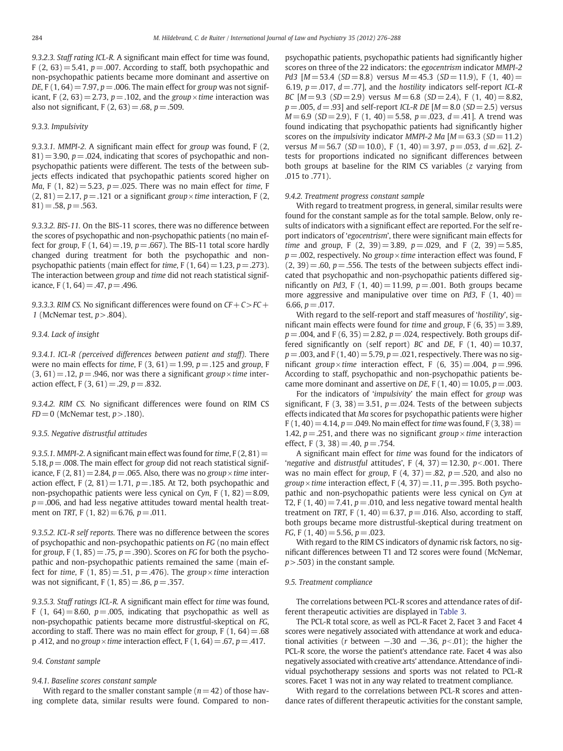9.3.2.3. Staff rating ICL-R. A significant main effect for time was found, F (2, 63) = 5.41,  $p = 0.007$ . According to staff, both psychopathic and non-psychopathic patients became more dominant and assertive on DE, F (1, 64) = 7.97,  $p = 0.006$ . The main effect for group was not significant, F (2, 63) = 2.73,  $p = 0.102$ , and the group  $\times$  time interaction was also not significant, F  $(2, 63) = .68$ ,  $p = .509$ .

# 9.3.3. Impulsivity

9.3.3.1. MMPI-2. A significant main effect for group was found, F (2,  $81)$  = 3.90, p = .024, indicating that scores of psychopathic and nonpsychopathic patients were different. The tests of the between subjects effects indicated that psychopathic patients scored higher on Ma, F (1, 82) = 5.23,  $p = 0.025$ . There was no main effect for time, F  $(2, 81) = 2.17$ ,  $p = .121$  or a significant group  $\times$  time interaction, F (2,  $81) = .58, p = .563.$ 

9.3.3.2. BIS-11. On the BIS-11 scores, there was no difference between the scores of psychopathic and non-psychopathic patients (no main effect for group, F (1, 64) = .19,  $p = .667$ ). The BIS-11 total score hardly changed during treatment for both the psychopathic and nonpsychopathic patients (main effect for time,  $F(1, 64) = 1.23$ ,  $p = .273$ ). The interaction between group and time did not reach statistical significance, F  $(1, 64) = .47$ ,  $p = .496$ .

9.3.3.3. RIM CS. No significant differences were found on  $CF + C > FC +$ 1 (McNemar test,  $p$  > .804).

# 9.3.4. Lack of insight

9.3.4.1. ICL-R (perceived differences between patient and staff). There were no main effects for time, F  $(3, 61) = 1.99$ ,  $p = .125$  and group, F  $(3, 61) = .12$ ,  $p = .946$ , nor was there a significant group  $\times$  time interaction effect, F  $(3, 61) = .29$ ,  $p = .832$ .

9.3.4.2. RIM CS. No significant differences were found on RIM CS  $FD = 0$  (McNemar test,  $p > .180$ ).

# 9.3.5. Negative distrustful attitudes

9.3.5.1. MMPI-2. A significant main effect was found for time,  $F(2, 81)$  = 5.18,  $p = 0.008$ . The main effect for group did not reach statistical significance, F (2, 81) = 2.84,  $p = .065$ . Also, there was no group  $\times$  time interaction effect, F  $(2, 81) = 1.71$ ,  $p = .185$ . At T2, both psychopathic and non-psychopathic patients were less cynical on Cyn, F  $(1, 82) = 8.09$ ,  $p = .006$ , and had less negative attitudes toward mental health treatment on TRT, F  $(1, 82) = 6.76$ ,  $p = .011$ .

9.3.5.2. ICL-R self reports. There was no difference between the scores of psychopathic and non-psychopathic patients on FG (no main effect for group, F (1, 85) = .75,  $p = .390$ ). Scores on FG for both the psychopathic and non-psychopathic patients remained the same (main effect for time, F (1, 85) = .51,  $p = .476$ ). The group  $\times$  time interaction was not significant, F  $(1, 85) = .86$ ,  $p = .357$ .

9.3.5.3. Staff ratings ICL-R. A significant main effect for time was found, F (1, 64) = 8.60,  $p = .005$ , indicating that psychopathic as well as non-psychopathic patients became more distrustful-skeptical on FG, according to staff. There was no main effect for group,  $F(1, 64) = .68$ p .412, and no group  $\times$  time interaction effect, F (1, 64) = .67, p = .417.

# 9.4. Constant sample

# 9.4.1. Baseline scores constant sample

With regard to the smaller constant sample ( $n= 42$ ) of those having complete data, similar results were found. Compared to nonpsychopathic patients, psychopathic patients had significantly higher scores on three of the 22 indicators: the egocentrism indicator MMPI-2 Pd3  $[M = 53.4$  (SD = 8.8) versus  $M = 45.3$  (SD = 11.9), F (1, 40) = 6.19,  $p = .017$ ,  $d = .77$ ], and the hostility indicators self-report ICL-R BC  $[M=9.3 \text{ (SD} = 2.9)$  versus  $M=6.8 \text{ (SD} = 2.4)$ , F  $(1, 40) = 8.82$ ,  $p = .005$ ,  $d = .93$ ] and self-report ICL-R DE [ $M = 8.0$  (SD = 2.5) versus  $M= 6.9$  (SD = 2.9), F (1, 40) = 5.58, p = .023, d = .41]. A trend was found indicating that psychopathic patients had significantly higher scores on the *impulsivity* indicator *MMPI-2 Ma*  $[M = 63.3$  (SD = 11.2) versus  $M = 56.7$  (SD = 10.0), F (1, 40) = 3.97, p = .053, d = .62]. Ztests for proportions indicated no significant differences between both groups at baseline for the RIM CS variables  $(z$  varying from .015 to .771).

#### 9.4.2. Treatment progress constant sample

With regard to treatment progress, in general, similar results were found for the constant sample as for the total sample. Below, only results of indicators with a significant effect are reported. For the self report indicators of 'egocentrism', there were significant main effects for time and group, F  $(2, 39) = 3.89$ ,  $p = .029$ , and F  $(2, 39) = 5.85$ ,  $p = 0.002$ , respectively. No group  $\times$  time interaction effect was found, F  $(2, 39) = .60$ ,  $p = .556$ . The tests of the between subjects effect indicated that psychopathic and non-psychopathic patients differed significantly on Pd3, F  $(1, 40) = 11.99$ ,  $p = .001$ . Both groups became more aggressive and manipulative over time on Pd3, F  $(1, 40)$  = 6.66,  $p = .017$ .

With regard to the self-report and staff measures of 'hostility', significant main effects were found for time and group,  $F(6, 35) = 3.89$ ,  $p = .004$ , and F (6, 35) = 2.82,  $p = .024$ , respectively. Both groups differed significantly on (self report) BC and DE, F  $(1, 40) = 10.37$ ,  $p = 0.003$ , and F (1, 40) = 5.79,  $p = 0.021$ , respectively. There was no significant group×time interaction effect, F  $(6, 35) = .004$ , p = .996. According to staff, psychopathic and non-psychopathic patients became more dominant and assertive on DE, F  $(1, 40) = 10.05$ ,  $p = .003$ .

For the indicators of 'impulsivity' the main effect for group was significant, F (3, 38) = 3.51,  $p = 0.024$ . Tests of the between subjects effects indicated that Ma scores for psychopathic patients were higher  $F(1, 40) = 4.14$ ,  $p = .049$ . No main effect for time was found, F (3, 38) = 1.42,  $p = 0.251$ , and there was no significant group  $\times$  time interaction effect, F  $(3, 38) = .40$ ,  $p = .754$ .

A significant main effect for time was found for the indicators of 'negative and distrustful attitudes',  $F(4, 37) = 12.30$ ,  $p < .001$ . There was no main effect for group, F  $(4, 37) = .82$ ,  $p = .520$ , and also no group  $\times$  time interaction effect, F (4, 37) = .11, p = .395. Both psychopathic and non-psychopathic patients were less cynical on Cyn at T2, F (1, 40) = 7.41,  $p = .010$ , and less negative toward mental health treatment on TRT, F  $(1, 40) = 6.37$ ,  $p = .016$ . Also, according to staff, both groups became more distrustful-skeptical during treatment on FG, F  $(1, 40) = 5.56$ ,  $p = .023$ .

With regard to the RIM CS indicators of dynamic risk factors, no significant differences between T1 and T2 scores were found (McNemar,  $p$  > .503) in the constant sample.

#### 9.5. Treatment compliance

The correlations between PCL-R scores and attendance rates of different therapeutic activities are displayed in Table 3.

The PCL-R total score, as well as PCL-R Facet 2, Facet 3 and Facet 4 scores were negatively associated with attendance at work and educational activities (r between  $-.30$  and  $-.36$ ,  $p<.01$ ); the higher the PCL-R score, the worse the patient's attendance rate. Facet 4 was also negatively associated with creative arts' attendance. Attendance of individual psychotherapy sessions and sports was not related to PCL-R scores. Facet 1 was not in any way related to treatment compliance.

With regard to the correlations between PCL-R scores and attendance rates of different therapeutic activities for the constant sample,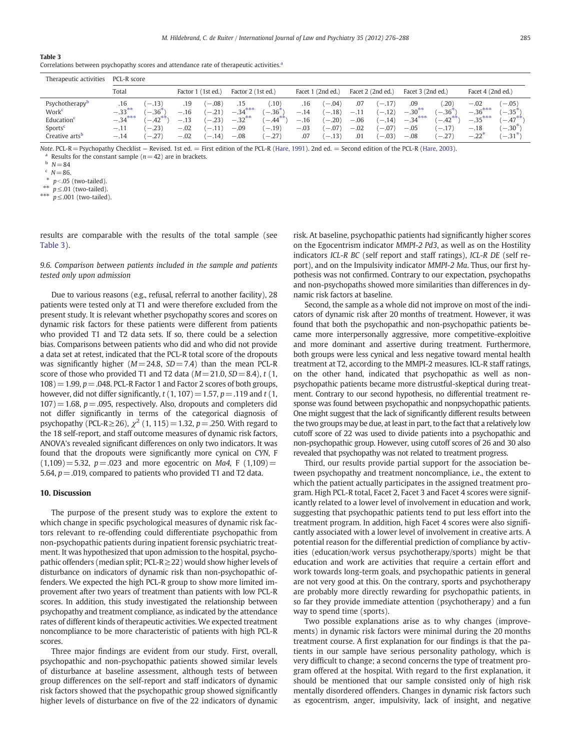# Table 3

| Therapeutic activities                                                                                                         | PCL-R score                                       |                                                       |                                             |                                                          |                                            |                                                       |                                          |                                                          |                                          |                                                          |                                                   |                                                                          |                                                       |                                                                                                    |
|--------------------------------------------------------------------------------------------------------------------------------|---------------------------------------------------|-------------------------------------------------------|---------------------------------------------|----------------------------------------------------------|--------------------------------------------|-------------------------------------------------------|------------------------------------------|----------------------------------------------------------|------------------------------------------|----------------------------------------------------------|---------------------------------------------------|--------------------------------------------------------------------------|-------------------------------------------------------|----------------------------------------------------------------------------------------------------|
|                                                                                                                                | Total                                             |                                                       | Factor 1 (1st ed.)                          |                                                          | Factor 2 (1st ed.)                         |                                                       | Facet 1 (2nd ed.)                        |                                                          | Facet 2 (2nd ed.)                        |                                                          | Facet 3 (2nd ed.)                                 |                                                                          | Facet 4 (2nd ed.)                                     |                                                                                                    |
| Psychotherapy <sup>b</sup><br>Work <sup>c</sup><br>Education <sup>c</sup><br>Sports <sup>e</sup><br>Creative arts <sup>b</sup> | .16<br>$-.33***$<br>$-.34***$<br>$-.11$<br>$-.14$ | $-.13)$<br>$-.36^*$<br>$-42***$<br>$-.23)$<br>$-.27)$ | .19<br>$-.16$<br>$-.13$<br>$-.02$<br>$-.02$ | $(-.08)$<br>$(-.21)$<br>$(-.23)$<br>$(-.11)$<br>$(-.14)$ | $-.34***$<br>$-.32***$<br>$-.09$<br>$-.08$ | .10)<br>$-.36*$<br>$, -0.44$ **<br>$(-.19)$<br>$-27)$ | .16<br>$-.14$<br>$-.16$<br>$-.03$<br>.07 | $(-.04)$<br>$(-.18)$<br>$(-.20)$<br>$(-.07)$<br>$(-.13)$ | .07<br>$-.11$<br>$-.06$<br>$-.02$<br>.01 | $(-.17)$<br>$(-.12)$<br>$(-.14)$<br>$(-.07)$<br>$(-.03)$ | .09<br>$-.30***$<br>$-.34***$<br>$-.05$<br>$-.08$ | $.20^{\circ}$<br>$-36*$<br>$, -42$ <sup>**</sup><br>$(-.17)$<br>$(-.27)$ | $-.02$<br>$-.36***$<br>$-.35***$<br>$-.18$<br>$-.22'$ | $-0.051$<br>$-0.35$ <sup>*</sup><br>$1 - .47$ **<br>$-0.30$ <sup>*</sup><br>$1 - .31$ <sup>*</sup> |

Note. PCL-R= Psychopathy Checklist — Revised. 1st ed. = First edition of the PCL-R (Hare, 1991). 2nd ed. = Second edition of the PCL-R (Hare, 2003). Results for the constant sample ( $n= 42$ ) are in brackets.

 $b N=84$ 

 $N = 86$ .

 $p<.05$  (two-tailed).

 $p \leq .01$  (two-tailed).

\*\*\*  $p \leq .001$  (two-tailed).

results are comparable with the results of the total sample (see Table 3).

9.6. Comparison between patients included in the sample and patients tested only upon admission

Due to various reasons (e.g., refusal, referral to another facility), 28 patients were tested only at T1 and were therefore excluded from the present study. It is relevant whether psychopathy scores and scores on dynamic risk factors for these patients were different from patients who provided T1 and T2 data sets. If so, there could be a selection bias. Comparisons between patients who did and who did not provide a data set at retest, indicated that the PCL-R total score of the dropouts was significantly higher ( $M=24.8$ ,  $SD=7.4$ ) than the mean PCL-R score of those who provided T1 and T2 data ( $M=21.0$ ,  $SD=8.4$ ), t (1,  $108$ ) = 1.99,  $p = .048$ . PCL-R Factor 1 and Factor 2 scores of both groups, however, did not differ significantly,  $t(1, 107) = 1.57$ ,  $p = .119$  and  $t(1, 107)$  $107$ ) = 1.68, p = .095, respectively. Also, dropouts and completers did not differ significantly in terms of the categorical diagnosis of psychopathy (PCL-R≥26),  $\chi^2$  (1, 115) = 1.32, p = .250. With regard to the 18 self-report, and staff outcome measures of dynamic risk factors, ANOVA's revealed significant differences on only two indicators. It was found that the dropouts were significantly more cynical on CYN, F  $(1,109) = 5.32$ ,  $p = .023$  and more egocentric on Ma4, F (1,109) = 5.64,  $p = .019$ , compared to patients who provided T1 and T2 data.

# 10. Discussion

The purpose of the present study was to explore the extent to which change in specific psychological measures of dynamic risk factors relevant to re-offending could differentiate psychopathic from non-psychopathic patients during inpatient forensic psychiatric treatment. It was hypothesized that upon admission to the hospital, psychopathic offenders (median split; PCL-R≥22) would show higher levels of disturbance on indicators of dynamic risk than non-psychopathic offenders. We expected the high PCL-R group to show more limited improvement after two years of treatment than patients with low PCL-R scores. In addition, this study investigated the relationship between psychopathy and treatment compliance, as indicated by the attendance rates of different kinds of therapeutic activities. We expected treatment noncompliance to be more characteristic of patients with high PCL-R scores.

Three major findings are evident from our study. First, overall, psychopathic and non-psychopathic patients showed similar levels of disturbance at baseline assessment, although tests of between group differences on the self-report and staff indicators of dynamic risk factors showed that the psychopathic group showed significantly higher levels of disturbance on five of the 22 indicators of dynamic risk. At baseline, psychopathic patients had significantly higher scores on the Egocentrism indicator MMPI-2 Pd3, as well as on the Hostility indicators ICL-R BC (self report and staff ratings), ICL-R DE (self report), and on the Impulsivity indicator MMPI-2 Ma. Thus, our first hypothesis was not confirmed. Contrary to our expectation, psychopaths and non-psychopaths showed more similarities than differences in dynamic risk factors at baseline.

Second, the sample as a whole did not improve on most of the indicators of dynamic risk after 20 months of treatment. However, it was found that both the psychopathic and non-psychopathic patients became more interpersonally aggressive, more competitive-exploitive and more dominant and assertive during treatment. Furthermore, both groups were less cynical and less negative toward mental health treatment at T2, according to the MMPI-2 measures. ICL-R staff ratings, on the other hand, indicated that psychopathic as well as nonpsychopathic patients became more distrustful-skeptical during treatment. Contrary to our second hypothesis, no differential treatment response was found between psychopathic and nonpsychopathic patients. One might suggest that the lack of significantly different results between the two groups may be due, at least in part, to the fact that a relatively low cutoff score of 22 was used to divide patients into a psychopathic and non-psychopathic group. However, using cutoff scores of 26 and 30 also revealed that psychopathy was not related to treatment progress.

Third, our results provide partial support for the association between psychopathy and treatment noncompliance, i.e., the extent to which the patient actually participates in the assigned treatment program. High PCL-R total, Facet 2, Facet 3 and Facet 4 scores were significantly related to a lower level of involvement in education and work, suggesting that psychopathic patients tend to put less effort into the treatment program. In addition, high Facet 4 scores were also significantly associated with a lower level of involvement in creative arts. A potential reason for the differential prediction of compliance by activities (education/work versus psychotherapy/sports) might be that education and work are activities that require a certain effort and work towards long-term goals, and psychopathic patients in general are not very good at this. On the contrary, sports and psychotherapy are probably more directly rewarding for psychopathic patients, in so far they provide immediate attention (psychotherapy) and a fun way to spend time (sports).

Two possible explanations arise as to why changes (improvements) in dynamic risk factors were minimal during the 20 months treatment course. A first explanation for our findings is that the patients in our sample have serious personality pathology, which is very difficult to change; a second concerns the type of treatment program offered at the hospital. With regard to the first explanation, it should be mentioned that our sample consisted only of high risk mentally disordered offenders. Changes in dynamic risk factors such as egocentrism, anger, impulsivity, lack of insight, and negative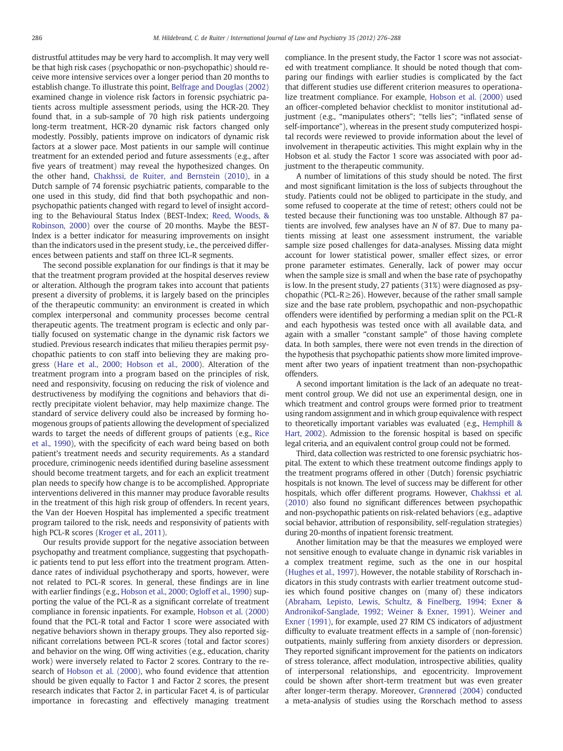distrustful attitudes may be very hard to accomplish. It may very well be that high risk cases (psychopathic or non-psychopathic) should receive more intensive services over a longer period than 20 months to establish change. To illustrate this point, Belfrage and Douglas (2002) examined change in violence risk factors in forensic psychiatric patients across multiple assessment periods, using the HCR-20. They found that, in a sub-sample of 70 high risk patients undergoing long-term treatment, HCR-20 dynamic risk factors changed only modestly. Possibly, patients improve on indicators of dynamic risk factors at a slower pace. Most patients in our sample will continue treatment for an extended period and future assessments (e.g., after five years of treatment) may reveal the hypothesized changes. On the other hand, Chakhssi, de Ruiter, and Bernstein (2010), in a Dutch sample of 74 forensic psychiatric patients, comparable to the one used in this study, did find that both psychopathic and nonpsychopathic patients changed with regard to level of insight according to the Behavioural Status Index (BEST-Index; Reed, Woods, & Robinson, 2000) over the course of 20 months. Maybe the BEST-Index is a better indicator for measuring improvements on insight than the indicators used in the present study, i.e., the perceived differences between patients and staff on three ICL-R segments.

The second possible explanation for our findings is that it may be that the treatment program provided at the hospital deserves review or alteration. Although the program takes into account that patients present a diversity of problems, it is largely based on the principles of the therapeutic community: an environment is created in which complex interpersonal and community processes become central therapeutic agents. The treatment program is eclectic and only partially focused on systematic change in the dynamic risk factors we studied. Previous research indicates that milieu therapies permit psychopathic patients to con staff into believing they are making progress (Hare et al., 2000; Hobson et al., 2000). Alteration of the treatment program into a program based on the principles of risk, need and responsivity, focusing on reducing the risk of violence and destructiveness by modifying the cognitions and behaviors that directly precipitate violent behavior, may help maximize change. The standard of service delivery could also be increased by forming homogenous groups of patients allowing the development of specialized wards to target the needs of different groups of patients (e.g., Rice et al., 1990), with the specificity of each ward being based on both patient's treatment needs and security requirements. As a standard procedure, criminogenic needs identified during baseline assessment should become treatment targets, and for each an explicit treatment plan needs to specify how change is to be accomplished. Appropriate interventions delivered in this manner may produce favorable results in the treatment of this high risk group of offenders. In recent years, the Van der Hoeven Hospital has implemented a specific treatment program tailored to the risk, needs and responsivity of patients with high PCL-R scores (Kroger et al., 2011).

Our results provide support for the negative association between psychopathy and treatment compliance, suggesting that psychopathic patients tend to put less effort into the treatment program. Attendance rates of individual psychotherapy and sports, however, were not related to PCL-R scores. In general, these findings are in line with earlier findings (e.g., Hobson et al., 2000; Ogloff et al., 1990) supporting the value of the PCL-R as a significant correlate of treatment compliance in forensic inpatients. For example, Hobson et al. (2000) found that the PCL-R total and Factor 1 score were associated with negative behaviors shown in therapy groups. They also reported significant correlations between PCL-R scores (total and factor scores) and behavior on the wing. Off wing activities (e.g., education, charity work) were inversely related to Factor 2 scores. Contrary to the research of Hobson et al. (2000), who found evidence that attention should be given equally to Factor 1 and Factor 2 scores, the present research indicates that Factor 2, in particular Facet 4, is of particular importance in forecasting and effectively managing treatment

compliance. In the present study, the Factor 1 score was not associated with treatment compliance. It should be noted though that comparing our findings with earlier studies is complicated by the fact that different studies use different criterion measures to operationalize treatment compliance. For example, Hobson et al. (2000) used an officer-completed behavior checklist to monitor institutional adjustment (e.g., "manipulates others"; "tells lies"; "inflated sense of self-importance"), whereas in the present study computerized hospital records were reviewed to provide information about the level of involvement in therapeutic activities. This might explain why in the Hobson et al. study the Factor 1 score was associated with poor adjustment to the therapeutic community.

A number of limitations of this study should be noted. The first and most significant limitation is the loss of subjects throughout the study. Patients could not be obliged to participate in the study, and some refused to cooperate at the time of retest; others could not be tested because their functioning was too unstable. Although 87 patients are involved, few analyses have an N of 87. Due to many patients missing at least one assessment instrument, the variable sample size posed challenges for data-analyses. Missing data might account for lower statistical power, smaller effect sizes, or error prone parameter estimates. Generally, lack of power may occur when the sample size is small and when the base rate of psychopathy is low. In the present study, 27 patients (31%) were diagnosed as psychopathic (PCL-R $\geq$ 26). However, because of the rather small sample size and the base rate problem, psychopathic and non-psychopathic offenders were identified by performing a median split on the PCL-R and each hypothesis was tested once with all available data, and again with a smaller "constant sample" of those having complete data. In both samples, there were not even trends in the direction of the hypothesis that psychopathic patients show more limited improvement after two years of inpatient treatment than non-psychopathic offenders.

A second important limitation is the lack of an adequate no treatment control group. We did not use an experimental design, one in which treatment and control groups were formed prior to treatment using random assignment and in which group equivalence with respect to theoretically important variables was evaluated (e.g., Hemphill & Hart, 2002). Admission to the forensic hospital is based on specific legal criteria, and an equivalent control group could not be formed.

Third, data collection was restricted to one forensic psychiatric hospital. The extent to which these treatment outcome findings apply to the treatment programs offered in other (Dutch) forensic psychiatric hospitals is not known. The level of success may be different for other hospitals, which offer different programs. However, Chakhssi et al. (2010) also found no significant differences between psychopathic and non-psychopathic patients on risk-related behaviors (e.g., adaptive social behavior, attribution of responsibility, self-regulation strategies) during 20-months of inpatient forensic treatment.

Another limitation may be that the measures we employed were not sensitive enough to evaluate change in dynamic risk variables in a complex treatment regime, such as the one in our hospital (Hughes et al., 1997). However, the notable stability of Rorschach indicators in this study contrasts with earlier treatment outcome studies which found positive changes on (many of) these indicators (Abraham, Lepisto, Lewis, Schultz, & Finelberg, 1994; Exner & Andronikof-Sanglade, 1992; Weiner & Exner, 1991). Weiner and Exner (1991), for example, used 27 RIM CS indicators of adjustment difficulty to evaluate treatment effects in a sample of (non-forensic) outpatients, mainly suffering from anxiety disorders or depression. They reported significant improvement for the patients on indicators of stress tolerance, affect modulation, introspective abilities, quality of interpersonal relationships, and egocentricity. Improvement could be shown after short-term treatment but was even greater after longer-term therapy. Moreover, Grønnerød (2004) conducted a meta-analysis of studies using the Rorschach method to assess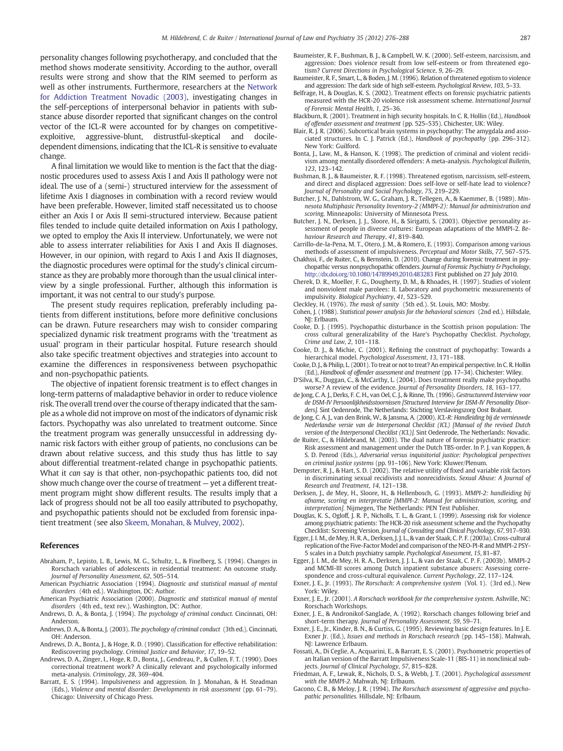personality changes following psychotherapy, and concluded that the method shows moderate sensitivity. According to the author, overall results were strong and show that the RIM seemed to perform as well as other instruments. Furthermore, researchers at the Network for Addiction Treatment Novadic (2003), investigating changes in the self-perceptions of interpersonal behavior in patients with substance abuse disorder reported that significant changes on the control vector of the ICL-R were accounted for by changes on competitiveexploitive, aggressive-blunt, distrustful-skeptical and dociledependent dimensions, indicating that the ICL-R is sensitive to evaluate change.

A final limitation we would like to mention is the fact that the diagnostic procedures used to assess Axis I and Axis II pathology were not ideal. The use of a (semi-) structured interview for the assessment of lifetime Axis I diagnoses in combination with a record review would have been preferable. However, limited staff necessitated us to choose either an Axis I or Axis II semi-structured interview. Because patient files tended to include quite detailed information on Axis I pathology, we opted to employ the Axis II interview. Unfortunately, we were not able to assess interrater reliabilities for Axis I and Axis II diagnoses. However, in our opinion, with regard to Axis I and Axis II diagnoses, the diagnostic procedures were optimal for the study's clinical circumstance as they are probably more thorough than the usual clinical interview by a single professional. Further, although this information is important, it was not central to our study's purpose.

The present study requires replication, preferably including patients from different institutions, before more definitive conclusions can be drawn. Future researchers may wish to consider comparing specialized dynamic risk treatment programs with the 'treatment as usual' program in their particular hospital. Future research should also take specific treatment objectives and strategies into account to examine the differences in responsiveness between psychopathic and non-psychopathic patients.

The objective of inpatient forensic treatment is to effect changes in long-term patterns of maladaptive behavior in order to reduce violence risk. The overall trend over the course of therapy indicated that the sample as a whole did not improve on most of the indicators of dynamic risk factors. Psychopathy was also unrelated to treatment outcome. Since the treatment program was generally unsuccessful in addressing dynamic risk factors with either group of patients, no conclusions can be drawn about relative success, and this study thus has little to say about differential treatment-related change in psychopathic patients. What it can say is that other, non-psychopathic patients too, did not show much change over the course of treatment — yet a different treatment program might show different results. The results imply that a lack of progress should not be all too easily attributed to psychopathy, and psychopathic patients should not be excluded from forensic inpatient treatment (see also Skeem, Monahan, & Mulvey, 2002).

#### References

- Abraham, P., Lepisto, L. B., Lewis, M. G., Schultz, L., & Finelberg, S. (1994). Changes in Rorschach variables of adolescents in residential treatment: An outcome study. Journal of Personality Assessment, 62, 505–514.
- American Psychiatric Association (1994). Diagnostic and statistical manual of mental disorders (4th ed.). Washington, DC: Author.
- American Psychiatric Association (2000). Diagnostic and statistical manual of mental disorders (4th ed., text rev.). Washington, DC: Author.
- Andrews, D. A., & Bonta, J. (1994). The psychology of criminal conduct. Cincinnati, OH: Anderson.
- Andrews, D. A., & Bonta, J. (2003). The psychology of criminal conduct (3th ed.). Cincinnati, OH: Anderson.
- Andrews, D. A., Bonta, J., & Hoge, R. D. (1990). Classification for effective rehabilitation: Rediscovering psychology. Criminal Justice and Behavior, 17, 19–52.
- Andrews, D. A., Zinger, I., Hoge, R. D., Bonta, J., Gendreau, P., & Cullen, F. T. (1990). Does correctional treatment work? A clinically relevant and psychologically informed meta-analysis. Criminology, 28, 369–404.
- Barratt, E. S. (1994). Impulsiveness and aggression. In J. Monahan, & H. Steadman (Eds.), Violence and mental disorder: Developments in risk assessment (pp. 61–79). Chicago: University of Chicago Press.
- Baumeister, R. F., Bushman, B. J., & Campbell, W. K. (2000). Self-esteem, narcissism, and aggression: Does violence result from low self-esteem or from threatened egotism? Current Directions in Psychological Science, 9, 26–29.
- Baumeister, R. F., Smart, L., & Boden, J. M. (1996). Relation of threatened egotism to violence and aggression: The dark side of high self-esteem. Psychological Review, 103, 5–33.
- Belfrage, H., & Douglas, K. S. (2002). Treatment effects on forensic psychiatric patients measured with the HCR-20 violence risk assessment scheme. International Journal of Forensic Mental Health, 1, 25–36.
- Blackburn, R. (2001). Treatment in high security hospitals. In C. R. Hollin (Ed.), Handbook of offender assessment and treatment (pp. 525–535). Chichester, UK: Wiley.
- Blair, R. J. R. (2006). Subcortical brain systems in psychopathy: The amygdala and associated structures. In C. J. Patrick (Ed.), Handbook of psychopathy (pp. 296–312). New York: Guilford.
- Bonta, J., Law, M., & Hanson, K. (1998). The prediction of criminal and violent recidivism among mentally disordered offenders: A meta-analysis. Psychological Bulletin, 123, 123–142.
- Bushman, B. J., & Baumeister, R. F. (1998). Threatened egotism, narcissism, self-esteem, and direct and displaced aggression: Does self-love or self-hate lead to violence? Journal of Personality and Social Psychology, 75, 219–229.
- Butcher, J. N., Dahlstrom, W. G., Graham, J. R., Tellegen, A., & Kaemmer, B. (1989). Minnesota Multiphasic Personality Inventory-2 (MMPI-2): Manual for administration and scoring. Minneapolis: University of Minnesota Press.
- Butcher, J. N., Derksen, J. J., Sloore, H., & Sirigatti, S. (2003). Objective personality assessment of people in diverse cultures: European adaptations of the MMPI-2. Behaviour Research and Therapy, 41, 819–840.
- Carrillo-de-la-Pena, M. T., Otero, J. M., & Romero, E. (1993). Comparison among various methods of assessment of impulsiveness. Perceptual and Motor Skills, 77, 567–575.
- Chakhssi, F., de Ruiter, C., & Bernstein, D. (2010). Change during forensic treatment in psychopathic versus nonpsychopathic offenders. Journal of Forensic Psychiatry & Psychology, http://dx.doi.org[/10.1080/14789949.2010.483283](http://dx.doi.org/10.1080/14789949.2010.483283) First published on 27 July 2010.
- Cherek, D. R., Moeller, F. G., Dougherty, D. M., & Rhoades, H. (1997). Studies of violent and nonviolent male parolees: II. Laboratory and psychometric measurements of impulsivity. Biological Psychiatry, 41, 523–529.
- Cleckley, H. (1976). The mask of sanity (5th ed.). St. Louis, MO: Mosby.
- Cohen, J. (1988). Statistical power analysis for the behavioral sciences (2nd ed.). Hillsdale, NJ: Erlbaum.
- Cooke, D. J. (1995). Psychopathic disturbance in the Scottish prison population: The cross cultural generalizability of the Hare's Psychopathy Checklist. Psychology, Crime and Law, 2, 101–118.
- Cooke, D. J., & Michie, C. (2001). Refining the construct of psychopathy: Towards a hierarchical model. Psychological Assessment, 13, 171–188.
- Cooke, D. J., & Philip, L. (2001). To treat or not to treat? An empirical perspective. In C. R. Hollin (Ed.), Handbook of offender assessment and treatment (pp. 17–34). Chichester: Wiley.
- D'Silva, K., Duggan, C., & McCarthy, L. (2004). Does treatment really make psychopaths worse? A review of the evidence. Journal of Personality Disorders, 18, 163–177.
- de Jong, C. A. J., Derks, F. C. H., van Oel, C. J., & Rinne, Th. (1996). Gestructureerd Interview voor de DSM-IV Persoonlijkheidsstoornissen [Structured Interview for DSM-IV Personality Disorders]. Sint Oedenrode, The Netherlands: Stichting Verslavingszorg Oost Brabant.
- de Jong, C. A. J., van den Brink, W., & Jansma, A. (2000). ICL-R: Handleiding bij de vernieuwde Nederlandse versie van de Interpersonal Checklist (ICL) [Manual of the revised Dutch version of the Interpersonal Checklist (ICL)]. Sint Oedenrode, The Netherlands: Novadic.
- de Ruiter, C., & Hildebrand, M. (2003). The dual nature of forensic psychiatric practice: Risk assessment and management under the Dutch TBS-order. In P. J. van Koppen, & S. D. Penrod (Eds.), Adversarial versus inquisitorial justice: Psychological perspectives on criminal justice systems (pp. 91–106). New York: Kluwer/Plenum.
- Dempster, R. J., & Hart, S. D. (2002). The relative utility of fixed and variable risk factors in discriminating sexual recidivists and nonrecidivists. Sexual Abuse: A Journal of Research and Treatment, 14, 121–138.
- Derksen, J., de Mey, H., Sloore, H., & Hellenbosch, G. (1993). MMPI-2: handleiding bij afname, scoring en interpretatie [MMPI-2: Manual for administration, scoring, and interpretation]. Nijmegen, The Netherlands: PEN Test Publisher.
- Douglas, K. S., Ogloff, J. R. P., Nicholls, T. L., & Grant, I. (1999). Assessing risk for violence among psychiatric patients: The HCR-20 risk assessment scheme and the Psychopathy Checklist: Screening Version. Journal of Consulting and Clinical Psychology, 67, 917–930.
- Egger, J. I. M., de Mey, H. R. A., Derksen, J. J. L., & van der Staak, C. P. F. (2003a). Cross-cultural replication of the Five-Factor Model and comparison of the NEO-PI-R and MMPI-2 PSY-5 scales in a Dutch psychiatry sample. Psychological Assessment, 15, 81–87.
- Egger, J. I. M., de Mey, H. R. A., Derksen, J. J. L., & van der Staak, C. P. F. (2003b). MMPI-2 and MCMI-III scores among Dutch inpatient substance abusers: Assessing correspondence and cross-cultural equivalence. Current Psychology, 22, 117–124.
- Exner, J. E., Jr. (1993). The Rorschach: A comprehensive system (Vol. 1). (3rd ed.). New York: Wiley.
- Exner, J. E., Jr. (2001). A Rorschach workbook for the comprehensive system. Ashville, NC: Rorschach Workshops.
- Exner, J. E., & Andronikof-Sanglade, A. (1992). Rorschach changes following brief and short-term therapy. Journal of Personality Assessment, 59, 59–71.
- Exner, J. E., Jr., Kinder, B. N., & Curtiss, G. (1995). Reviewing basic design features. In J. E. Exner Jr. (Ed.), *Issues and methods in Rorschach research* (pp. 145–158). Mahwah, NI: Lawrence Erlbaum.
- Fossati, A., Di Ceglie, A., Acquarini, E., & Barratt, E. S. (2001). Psychometric properties of an Italian version of the Barratt Impulsiveness Scale-11 (BIS-11) in nonclinical subjects. Journal of Clinical Psychology, 57, 815–828.
- Friedman, A. F., Lewak, R., Nichols, D. S., & Webb, J. T. (2001). Psychological assessment with the MMPI-2. Mahwah, NI: Erlbaum.
- Gacono, C. B., & Meloy, J. R. (1994). The Rorschach assessment of aggressive and psychopathic personalities. Hillsdale, NJ: Erlbaum.